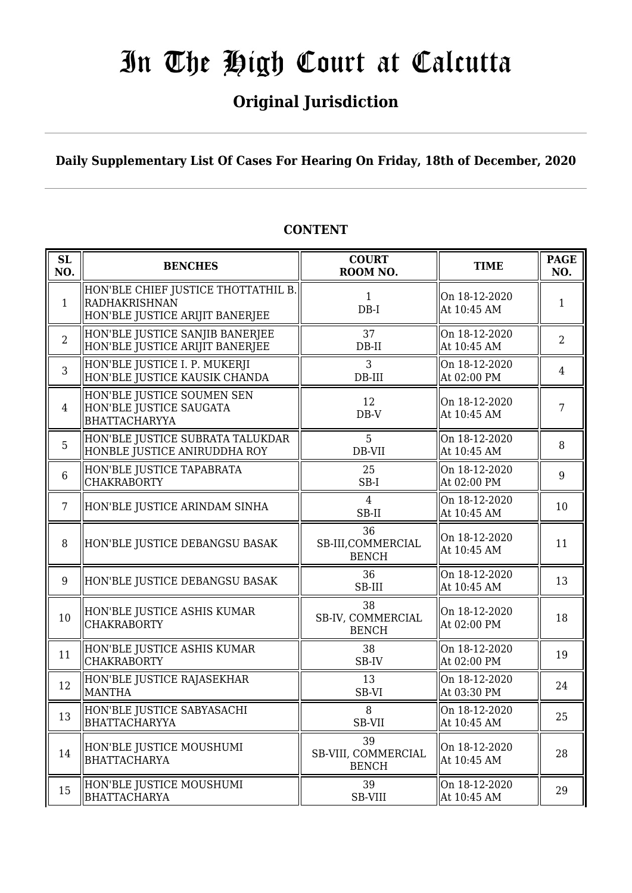## **Original Jurisdiction**

### **Daily Supplementary List Of Cases For Hearing On Friday, 18th of December, 2020**

| <b>SL</b><br>NO. | <b>BENCHES</b>                                                                                 | <b>COURT</b><br>ROOM NO.                  | <b>TIME</b>                  | <b>PAGE</b><br>NO. |
|------------------|------------------------------------------------------------------------------------------------|-------------------------------------------|------------------------------|--------------------|
| $\mathbf{1}$     | HON'BLE CHIEF JUSTICE THOTTATHIL B.<br><b>RADHAKRISHNAN</b><br>HON'BLE JUSTICE ARIJIT BANERJEE | $\mathbf{1}$<br>$DB-I$                    | On 18-12-2020<br>At 10:45 AM | $\mathbf{1}$       |
| $\overline{2}$   | HON'BLE JUSTICE SANJIB BANERJEE<br>HON'BLE JUSTICE ARIJIT BANERJEE                             | 37<br>$DB-II$                             | On 18-12-2020<br>At 10:45 AM | $\overline{2}$     |
| $\overline{3}$   | HON'BLE JUSTICE I. P. MUKERII<br>HON'BLE JUSTICE KAUSIK CHANDA                                 | 3<br>$DB-III$                             | On 18-12-2020<br>At 02:00 PM | $\overline{4}$     |
| $\overline{4}$   | HON'BLE JUSTICE SOUMEN SEN<br>HON'BLE JUSTICE SAUGATA<br><b>BHATTACHARYYA</b>                  | 12<br>$DB-V$                              | On 18-12-2020<br>At 10:45 AM | $\overline{7}$     |
| 5                | HON'BLE JUSTICE SUBRATA TALUKDAR<br>HONBLE JUSTICE ANIRUDDHA ROY                               | 5<br>DB-VII                               | On 18-12-2020<br>At 10:45 AM | 8                  |
| 6                | HON'BLE JUSTICE TAPABRATA<br><b>CHAKRABORTY</b>                                                | 25<br>$SB-I$                              | On 18-12-2020<br>At 02:00 PM | 9                  |
| $7\overline{ }$  | HON'BLE JUSTICE ARINDAM SINHA                                                                  | $\overline{4}$<br>SB-II                   | On 18-12-2020<br>At 10:45 AM | 10                 |
| 8                | HON'BLE JUSTICE DEBANGSU BASAK                                                                 | 36<br>SB-III, COMMERCIAL<br><b>BENCH</b>  | On 18-12-2020<br>At 10:45 AM | 11                 |
| 9                | HON'BLE JUSTICE DEBANGSU BASAK                                                                 | 36<br>SB-III                              | On 18-12-2020<br>At 10:45 AM | 13                 |
| 10               | HON'BLE JUSTICE ASHIS KUMAR<br><b>CHAKRABORTY</b>                                              | 38<br>SB-IV, COMMERCIAL<br><b>BENCH</b>   | On 18-12-2020<br>At 02:00 PM | 18                 |
| 11               | HON'BLE JUSTICE ASHIS KUMAR<br><b>CHAKRABORTY</b>                                              | 38<br>SB-IV                               | On 18-12-2020<br>At 02:00 PM | 19                 |
| 12               | HON'BLE JUSTICE RAJASEKHAR<br><b>MANTHA</b>                                                    | 13<br>SB-VI                               | On 18-12-2020<br>At 03:30 PM | 24                 |
| 13               | HON'BLE JUSTICE SABYASACHI<br><b>BHATTACHARYYA</b>                                             | 8<br>SB-VII                               | On 18-12-2020<br>At 10:45 AM | 25                 |
| 14               | HON'BLE JUSTICE MOUSHUMI<br><b>BHATTACHARYA</b>                                                | 39<br>SB-VIII, COMMERCIAL<br><b>BENCH</b> | On 18-12-2020<br>At 10:45 AM | 28                 |
| 15               | HON'BLE JUSTICE MOUSHUMI<br>BHATTACHARYA                                                       | 39<br><b>SB-VIII</b>                      | On 18-12-2020<br>At 10:45 AM | 29                 |

### **CONTENT**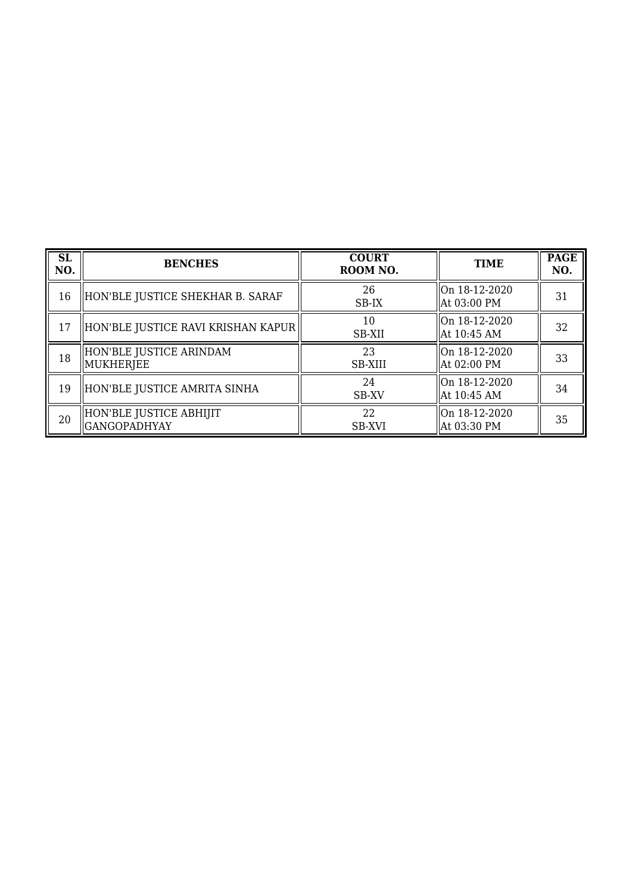| <b>SL</b><br>NO. | <b>BENCHES</b>                                 | <b>COURT</b><br>ROOM NO. | <b>TIME</b>                     | <b>PAGE</b><br>NO. |
|------------------|------------------------------------------------|--------------------------|---------------------------------|--------------------|
| 16               | HON'BLE JUSTICE SHEKHAR B. SARAF               | 26<br>SB-IX              | On 18-12-2020<br>At 03:00 PM    | 31                 |
| 17               | HON'BLE JUSTICE RAVI KRISHAN KAPUR             | 10<br>SB-XII             | lOn 18-12-2020<br>  At 10:45 AM | 32                 |
| 18               | HON'BLE JUSTICE ARINDAM<br>MUKHERJEE           | 23<br><b>SB-XIII</b>     | lOn 18-12-2020<br>  At 02:00 PM | 33                 |
| 19               | HON'BLE JUSTICE AMRITA SINHA                   | 24<br>SB-XV              | On 18-12-2020<br>  At 10:45 AM  | 34                 |
| 20               | HON'BLE JUSTICE ABHIJIT<br><b>GANGOPADHYAY</b> | 22<br>SB-XVI             | lOn 18-12-2020<br>  At 03:30 PM | 35                 |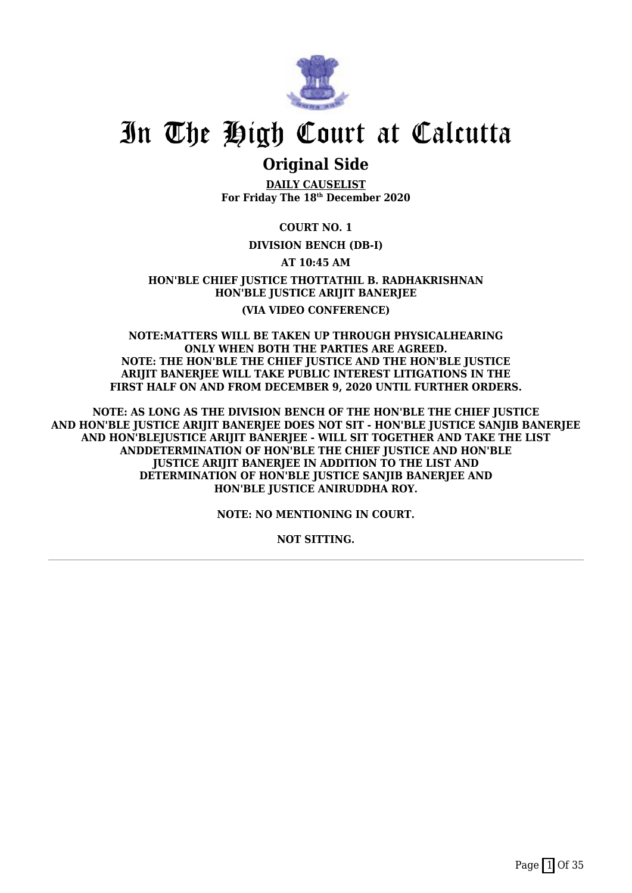

### **Original Side**

**DAILY CAUSELIST For Friday The 18th December 2020**

**COURT NO. 1**

### **DIVISION BENCH (DB-I)**

**AT 10:45 AM**

**HON'BLE CHIEF JUSTICE THOTTATHIL B. RADHAKRISHNAN HON'BLE JUSTICE ARIJIT BANERJEE (VIA VIDEO CONFERENCE)**

**NOTE:MATTERS WILL BE TAKEN UP THROUGH PHYSICALHEARING ONLY WHEN BOTH THE PARTIES ARE AGREED. NOTE: THE HON'BLE THE CHIEF JUSTICE AND THE HON'BLE JUSTICE ARIJIT BANERJEE WILL TAKE PUBLIC INTEREST LITIGATIONS IN THE FIRST HALF ON AND FROM DECEMBER 9, 2020 UNTIL FURTHER ORDERS.**

**NOTE: AS LONG AS THE DIVISION BENCH OF THE HON'BLE THE CHIEF JUSTICE AND HON'BLE JUSTICE ARIJIT BANERJEE DOES NOT SIT - HON'BLE JUSTICE SANJIB BANERJEE AND HON'BLEJUSTICE ARIJIT BANERJEE - WILL SIT TOGETHER AND TAKE THE LIST ANDDETERMINATION OF HON'BLE THE CHIEF JUSTICE AND HON'BLE JUSTICE ARIJIT BANERJEE IN ADDITION TO THE LIST AND DETERMINATION OF HON'BLE JUSTICE SANJIB BANERJEE AND HON'BLE JUSTICE ANIRUDDHA ROY.**

**NOTE: NO MENTIONING IN COURT.**

**NOT SITTING.**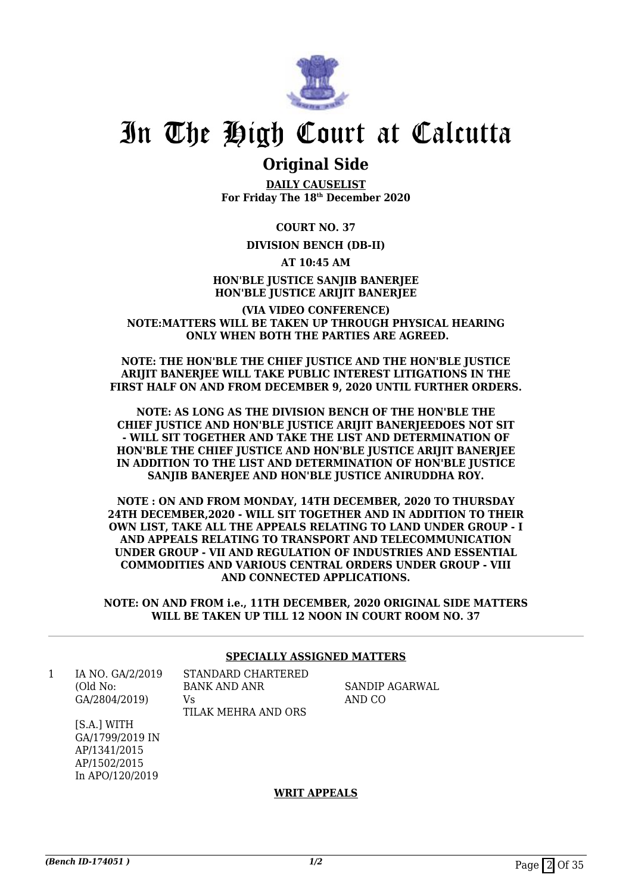

### **Original Side**

**DAILY CAUSELIST For Friday The 18th December 2020**

**COURT NO. 37**

#### **DIVISION BENCH (DB-II)**

**AT 10:45 AM**

### **HON'BLE JUSTICE SANJIB BANERJEE HON'BLE JUSTICE ARIJIT BANERJEE**

#### **(VIA VIDEO CONFERENCE) NOTE:MATTERS WILL BE TAKEN UP THROUGH PHYSICAL HEARING ONLY WHEN BOTH THE PARTIES ARE AGREED.**

**NOTE: THE HON'BLE THE CHIEF JUSTICE AND THE HON'BLE JUSTICE ARIJIT BANERJEE WILL TAKE PUBLIC INTEREST LITIGATIONS IN THE FIRST HALF ON AND FROM DECEMBER 9, 2020 UNTIL FURTHER ORDERS.**

**NOTE: AS LONG AS THE DIVISION BENCH OF THE HON'BLE THE CHIEF JUSTICE AND HON'BLE JUSTICE ARIJIT BANERJEEDOES NOT SIT - WILL SIT TOGETHER AND TAKE THE LIST AND DETERMINATION OF HON'BLE THE CHIEF JUSTICE AND HON'BLE JUSTICE ARIJIT BANERJEE IN ADDITION TO THE LIST AND DETERMINATION OF HON'BLE JUSTICE SANIIB BANERIEE AND HON'BLE IUSTICE ANIRUDDHA ROY.** 

**NOTE : ON AND FROM MONDAY, 14TH DECEMBER, 2020 TO THURSDAY 24TH DECEMBER,2020 - WILL SIT TOGETHER AND IN ADDITION TO THEIR OWN LIST, TAKE ALL THE APPEALS RELATING TO LAND UNDER GROUP - I AND APPEALS RELATING TO TRANSPORT AND TELECOMMUNICATION UNDER GROUP - VII AND REGULATION OF INDUSTRIES AND ESSENTIAL COMMODITIES AND VARIOUS CENTRAL ORDERS UNDER GROUP - VIII AND CONNECTED APPLICATIONS.**

**NOTE: ON AND FROM i.e., 11TH DECEMBER, 2020 ORIGINAL SIDE MATTERS WILL BE TAKEN UP TILL 12 NOON IN COURT ROOM NO. 37**

#### **SPECIALLY ASSIGNED MATTERS**

1 IA NO. GA/2/2019 (Old No: GA/2804/2019)

STANDARD CHARTERED BANK AND ANR  $V<sub>c</sub>$ TILAK MEHRA AND ORS

SANDIP AGARWAL AND CO

[S.A.] WITH GA/1799/2019 IN AP/1341/2015 AP/1502/2015 In APO/120/2019

#### **WRIT APPEALS**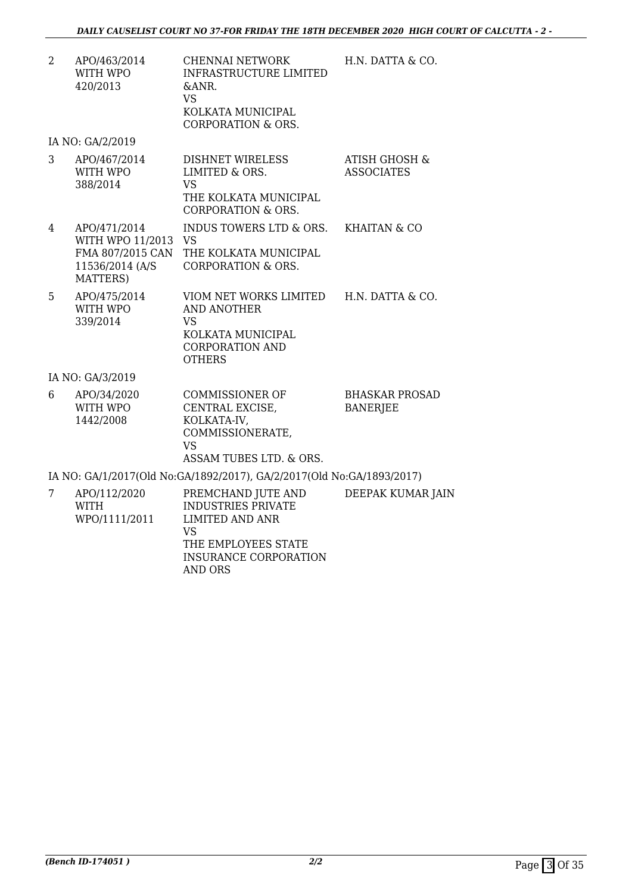2 APO/463/2014 WITH WPO 420/2013 CHENNAI NETWORK INFRASTRUCTURE LIMITED &ANR. VS KOLKATA MUNICIPAL CORPORATION & ORS. H.N. DATTA & CO.

IA NO: GA/2/2019

|   | APO/467/2014<br>WITH WPO | DISHNET WIRELESS<br>LIMITED & ORS.          | ATISH GHOSH &<br><b>ASSOCIATES</b> |  |
|---|--------------------------|---------------------------------------------|------------------------------------|--|
|   | 388/2014                 | VS                                          |                                    |  |
|   |                          | THE KOLKATA MUNICIPAL<br>CORPORATION & ORS. |                                    |  |
|   |                          |                                             |                                    |  |
| 4 | APO/471/2014             | INDUS TOWERS LTD & ORS.                     | KHAITAN & CO                       |  |

| 5 | APO/475/2014 | VIOM NET WORKS LIMITED | H.N. DATTA & CO. |
|---|--------------|------------------------|------------------|
|   | WITH WPO     | AND ANOTHER            |                  |
|   | 339/2014     | VS                     |                  |
|   |              | KOLKATA MUNICIPAL      |                  |
|   |              | CORPORATION AND        |                  |
|   |              | <b>OTHERS</b>          |                  |

IA NO: GA/3/2019

| APO/34/2020 | COMMISSIONER OF         | <b>BHASKAR PROSAD</b> |
|-------------|-------------------------|-----------------------|
| WITH WPO    | CENTRAL EXCISE,         | BANERJEE              |
| 1442/2008   | KOLKATA-IV.             |                       |
|             | COMMISSIONERATE,        |                       |
|             | VS                      |                       |
|             | ASSAM TUBES LTD. & ORS. |                       |
|             |                         |                       |

IA NO: GA/1/2017(Old No:GA/1892/2017), GA/2/2017(Old No:GA/1893/2017)

| APO/112/2020<br><b>WITH</b><br>WPO/1111/2011 | PREMCHAND JUTE AND<br><b>INDUSTRIES PRIVATE</b><br>LIMITED AND ANR<br>VS<br>THE EMPLOYEES STATE<br>INSURANCE CORPORATION<br>AND ORS | DEEPAK KUMAR JAIN |
|----------------------------------------------|-------------------------------------------------------------------------------------------------------------------------------------|-------------------|
|                                              |                                                                                                                                     |                   |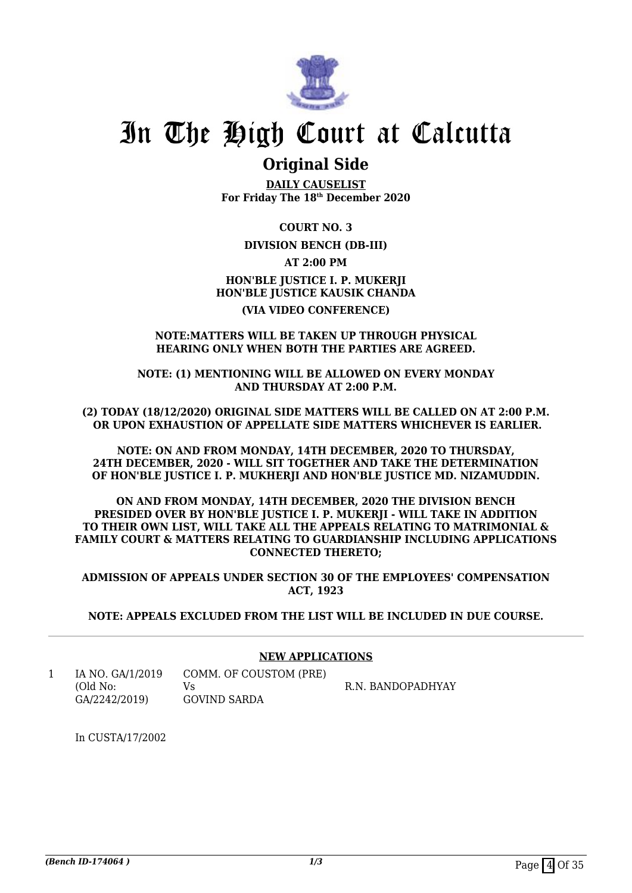

### **Original Side**

**DAILY CAUSELIST For Friday The 18th December 2020**

**COURT NO. 3**

**DIVISION BENCH (DB-III)**

**AT 2:00 PM**

**HON'BLE JUSTICE I. P. MUKERJI HON'BLE JUSTICE KAUSIK CHANDA (VIA VIDEO CONFERENCE)**

#### **NOTE:MATTERS WILL BE TAKEN UP THROUGH PHYSICAL HEARING ONLY WHEN BOTH THE PARTIES ARE AGREED.**

**NOTE: (1) MENTIONING WILL BE ALLOWED ON EVERY MONDAY AND THURSDAY AT 2:00 P.M.**

**(2) TODAY (18/12/2020) ORIGINAL SIDE MATTERS WILL BE CALLED ON AT 2:00 P.M. OR UPON EXHAUSTION OF APPELLATE SIDE MATTERS WHICHEVER IS EARLIER.**

**NOTE: ON AND FROM MONDAY, 14TH DECEMBER, 2020 TO THURSDAY, 24TH DECEMBER, 2020 - WILL SIT TOGETHER AND TAKE THE DETERMINATION OF HON'BLE JUSTICE I. P. MUKHERJI AND HON'BLE JUSTICE MD. NIZAMUDDIN.**

**ON AND FROM MONDAY, 14TH DECEMBER, 2020 THE DIVISION BENCH PRESIDED OVER BY HON'BLE JUSTICE I. P. MUKERJI - WILL TAKE IN ADDITION TO THEIR OWN LIST, WILL TAKE ALL THE APPEALS RELATING TO MATRIMONIAL & FAMILY COURT & MATTERS RELATING TO GUARDIANSHIP INCLUDING APPLICATIONS CONNECTED THERETO;**

**ADMISSION OF APPEALS UNDER SECTION 30 OF THE EMPLOYEES' COMPENSATION ACT, 1923**

**NOTE: APPEALS EXCLUDED FROM THE LIST WILL BE INCLUDED IN DUE COURSE.**

### **NEW APPLICATIONS**

1 IA NO. GA/1/2019 (Old No: GA/2242/2019) COMM. OF COUSTOM (PRE)  $V<sub>c</sub>$ GOVIND SARDA R.N. BANDOPADHYAY

In CUSTA/17/2002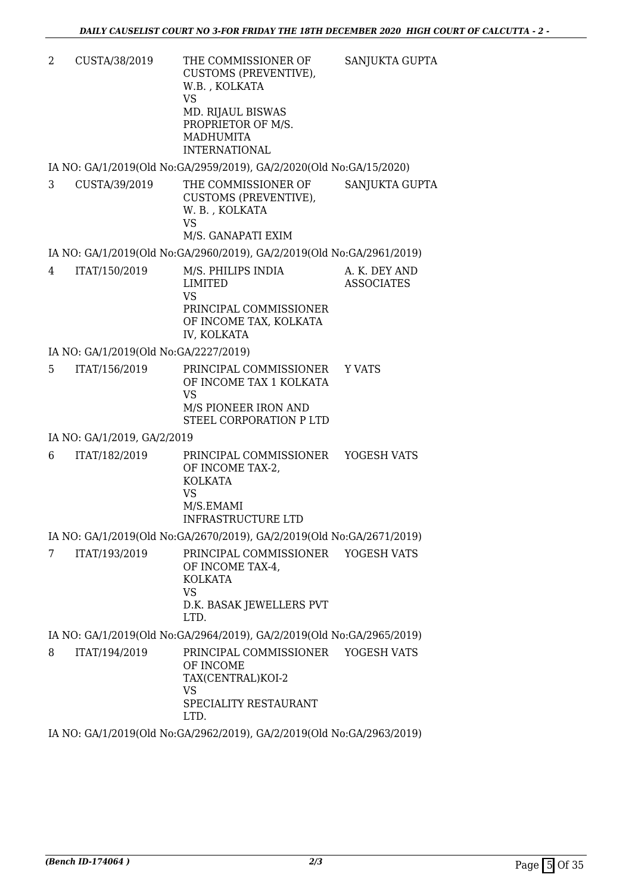| 2                                                                     | CUSTA/38/2019                                                         | THE COMMISSIONER OF<br>CUSTOMS (PREVENTIVE),<br>W.B., KOLKATA<br><b>VS</b><br>MD. RIJAUL BISWAS<br>PROPRIETOR OF M/S.<br><b>MADHUMITA</b><br><b>INTERNATIONAL</b> | SANJUKTA GUPTA    |  |
|-----------------------------------------------------------------------|-----------------------------------------------------------------------|-------------------------------------------------------------------------------------------------------------------------------------------------------------------|-------------------|--|
|                                                                       |                                                                       | IA NO: GA/1/2019(Old No:GA/2959/2019), GA/2/2020(Old No:GA/15/2020)                                                                                               |                   |  |
| 3                                                                     | CUSTA/39/2019                                                         | THE COMMISSIONER OF<br>CUSTOMS (PREVENTIVE),<br>W. B., KOLKATA<br><b>VS</b><br>M/S. GANAPATI EXIM                                                                 | SANJUKTA GUPTA    |  |
|                                                                       |                                                                       |                                                                                                                                                                   |                   |  |
| 4                                                                     |                                                                       | IA NO: GA/1/2019(Old No:GA/2960/2019), GA/2/2019(Old No:GA/2961/2019)                                                                                             | A. K. DEY AND     |  |
|                                                                       | ITAT/150/2019                                                         | M/S. PHILIPS INDIA<br>LIMITED<br><b>VS</b><br>PRINCIPAL COMMISSIONER<br>OF INCOME TAX, KOLKATA<br>IV, KOLKATA                                                     | <b>ASSOCIATES</b> |  |
|                                                                       | IA NO: GA/1/2019(Old No:GA/2227/2019)                                 |                                                                                                                                                                   |                   |  |
| 5                                                                     | ITAT/156/2019                                                         | PRINCIPAL COMMISSIONER<br>OF INCOME TAX 1 KOLKATA<br><b>VS</b><br>M/S PIONEER IRON AND<br>STEEL CORPORATION P LTD                                                 | Y VATS            |  |
|                                                                       | IA NO: GA/1/2019, GA/2/2019                                           |                                                                                                                                                                   |                   |  |
| 6                                                                     | ITAT/182/2019                                                         | PRINCIPAL COMMISSIONER<br>OF INCOME TAX-2,<br><b>KOLKATA</b><br><b>VS</b><br>M/S.EMAMI<br><b>INFRASTRUCTURE LTD</b>                                               | YOGESH VATS       |  |
|                                                                       |                                                                       | IA NO: GA/1/2019(Old No:GA/2670/2019), GA/2/2019(Old No:GA/2671/2019)                                                                                             |                   |  |
| 7                                                                     | ITAT/193/2019                                                         | PRINCIPAL COMMISSIONER<br>OF INCOME TAX-4,<br><b>KOLKATA</b><br><b>VS</b><br>D.K. BASAK JEWELLERS PVT<br>LTD.                                                     | YOGESH VATS       |  |
| IA NO: GA/1/2019(Old No:GA/2964/2019), GA/2/2019(Old No:GA/2965/2019) |                                                                       |                                                                                                                                                                   |                   |  |
| 8                                                                     | ITAT/194/2019                                                         | PRINCIPAL COMMISSIONER<br>OF INCOME<br>TAX(CENTRAL)KOI-2<br><b>VS</b><br>SPECIALITY RESTAURANT<br>LTD.                                                            | YOGESH VATS       |  |
|                                                                       | IA NO: GA/1/2019(Old No:GA/2962/2019), GA/2/2019(Old No:GA/2963/2019) |                                                                                                                                                                   |                   |  |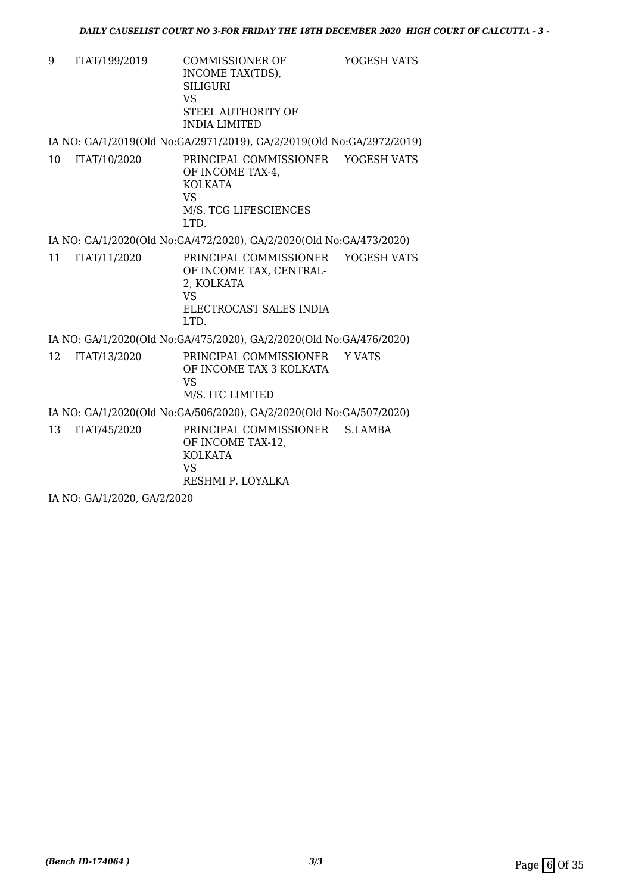9 ITAT/199/2019 COMMISSIONER OF INCOME TAX(TDS), SILIGURI VS STEEL AUTHORITY OF INDIA LIMITED YOGESH VATS

IA NO: GA/1/2019(Old No:GA/2971/2019), GA/2/2019(Old No:GA/2972/2019)

10 ITAT/10/2020 PRINCIPAL COMMISSIONER OF INCOME TAX-4, KOLKATA VS M/S. TCG LIFESCIENCES LTD. YOGESH VATS

IA NO: GA/1/2020(Old No:GA/472/2020), GA/2/2020(Old No:GA/473/2020)

11 ITAT/11/2020 PRINCIPAL COMMISSIONER OF INCOME TAX, CENTRAL-2, KOLKATA VS ELECTROCAST SALES INDIA LTD. YOGESH VATS

IA NO: GA/1/2020(Old No:GA/475/2020), GA/2/2020(Old No:GA/476/2020)

- 12 ITAT/13/2020 PRINCIPAL COMMISSIONER OF INCOME TAX 3 KOLKATA VS M/S. ITC LIMITED Y VATS IA NO: GA/1/2020(Old No:GA/506/2020), GA/2/2020(Old No:GA/507/2020) 13 ITAT/45/2020 PRINCIPAL COMMISSIONER S.LAMBA
- OF INCOME TAX-12, KOLKATA VS RESHMI P. LOYALKA

IA NO: GA/1/2020, GA/2/2020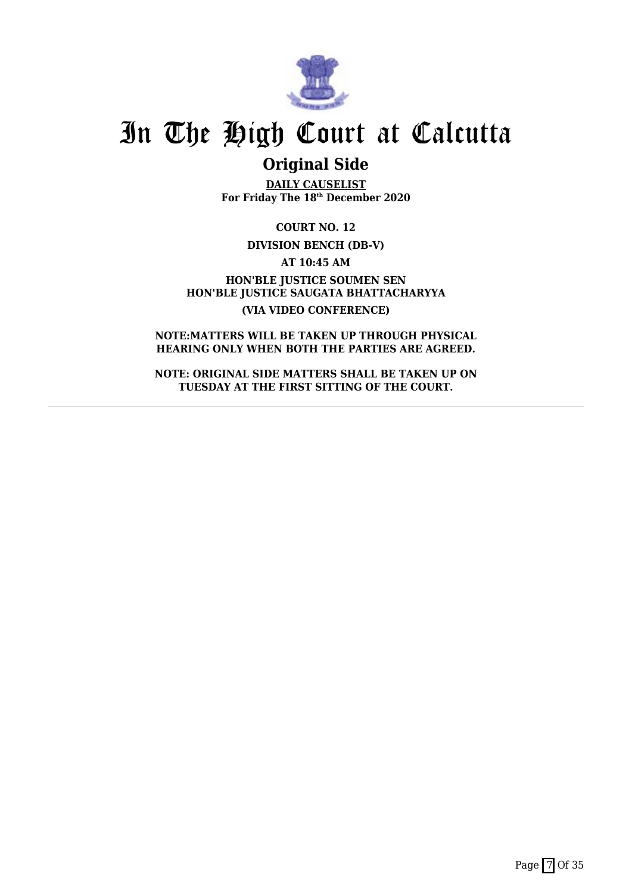

## **Original Side**

**DAILY CAUSELIST For Friday The 18th December 2020**

**COURT NO. 12**

### **DIVISION BENCH (DB-V)**

**AT 10:45 AM**

**HON'BLE JUSTICE SOUMEN SEN HON'BLE JUSTICE SAUGATA BHATTACHARYYA (VIA VIDEO CONFERENCE)**

**NOTE:MATTERS WILL BE TAKEN UP THROUGH PHYSICAL HEARING ONLY WHEN BOTH THE PARTIES ARE AGREED.**

**NOTE: ORIGINAL SIDE MATTERS SHALL BE TAKEN UP ON TUESDAY AT THE FIRST SITTING OF THE COURT.**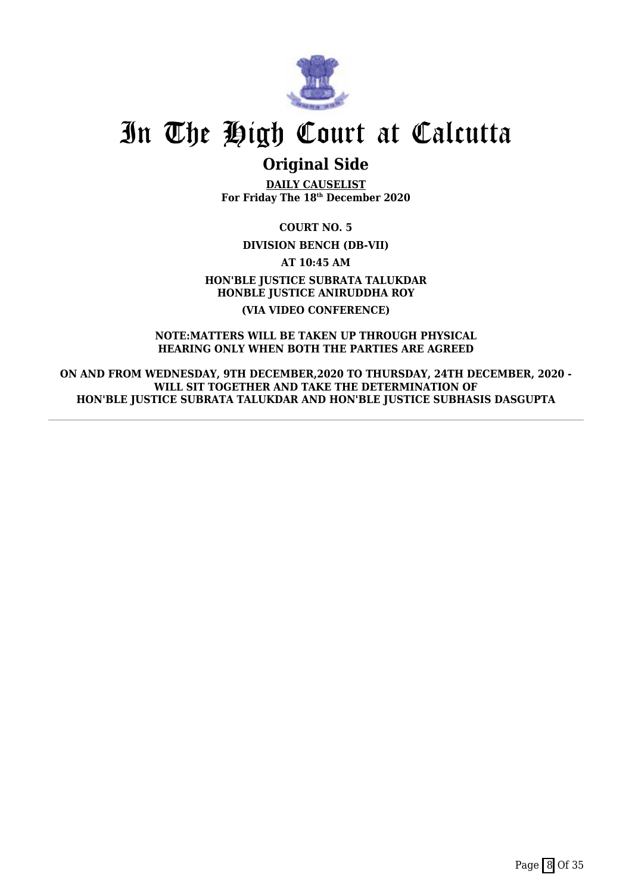

## **Original Side**

**DAILY CAUSELIST For Friday The 18th December 2020**

**COURT NO. 5**

**DIVISION BENCH (DB-VII)**

**AT 10:45 AM**

**HON'BLE JUSTICE SUBRATA TALUKDAR HONBLE JUSTICE ANIRUDDHA ROY (VIA VIDEO CONFERENCE)**

#### **NOTE:MATTERS WILL BE TAKEN UP THROUGH PHYSICAL HEARING ONLY WHEN BOTH THE PARTIES ARE AGREED**

**ON AND FROM WEDNESDAY, 9TH DECEMBER,2020 TO THURSDAY, 24TH DECEMBER, 2020 - WILL SIT TOGETHER AND TAKE THE DETERMINATION OF HON'BLE JUSTICE SUBRATA TALUKDAR AND HON'BLE JUSTICE SUBHASIS DASGUPTA**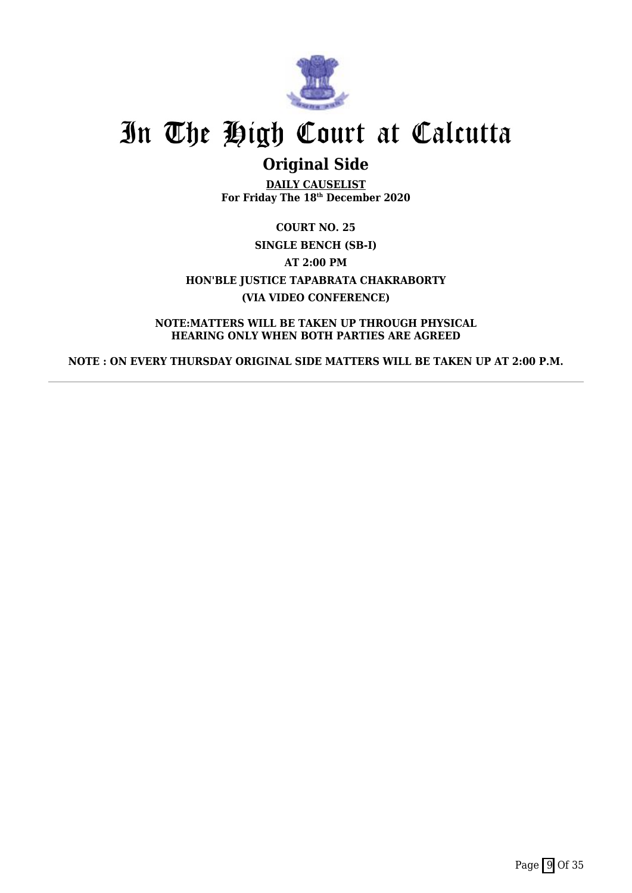

## **Original Side**

**DAILY CAUSELIST For Friday The 18th December 2020**

**COURT NO. 25 SINGLE BENCH (SB-I) AT 2:00 PM HON'BLE JUSTICE TAPABRATA CHAKRABORTY (VIA VIDEO CONFERENCE)**

**NOTE:MATTERS WILL BE TAKEN UP THROUGH PHYSICAL HEARING ONLY WHEN BOTH PARTIES ARE AGREED**

**NOTE : ON EVERY THURSDAY ORIGINAL SIDE MATTERS WILL BE TAKEN UP AT 2:00 P.M.**

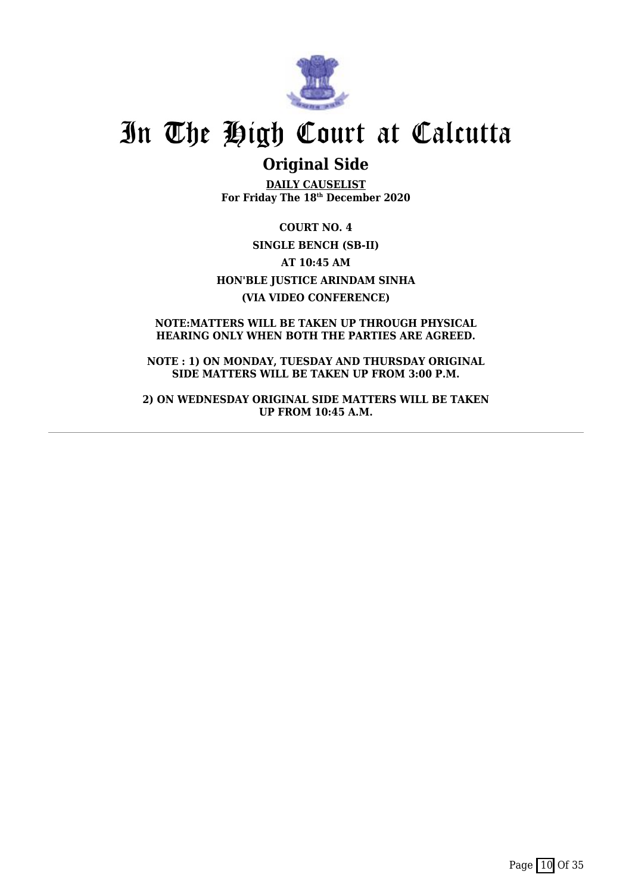

### **Original Side**

**DAILY CAUSELIST For Friday The 18th December 2020**

**COURT NO. 4 SINGLE BENCH (SB-II) AT 10:45 AM HON'BLE JUSTICE ARINDAM SINHA (VIA VIDEO CONFERENCE)**

**NOTE:MATTERS WILL BE TAKEN UP THROUGH PHYSICAL HEARING ONLY WHEN BOTH THE PARTIES ARE AGREED.**

**NOTE : 1) ON MONDAY, TUESDAY AND THURSDAY ORIGINAL SIDE MATTERS WILL BE TAKEN UP FROM 3:00 P.M.**

**2) ON WEDNESDAY ORIGINAL SIDE MATTERS WILL BE TAKEN UP FROM 10:45 A.M.**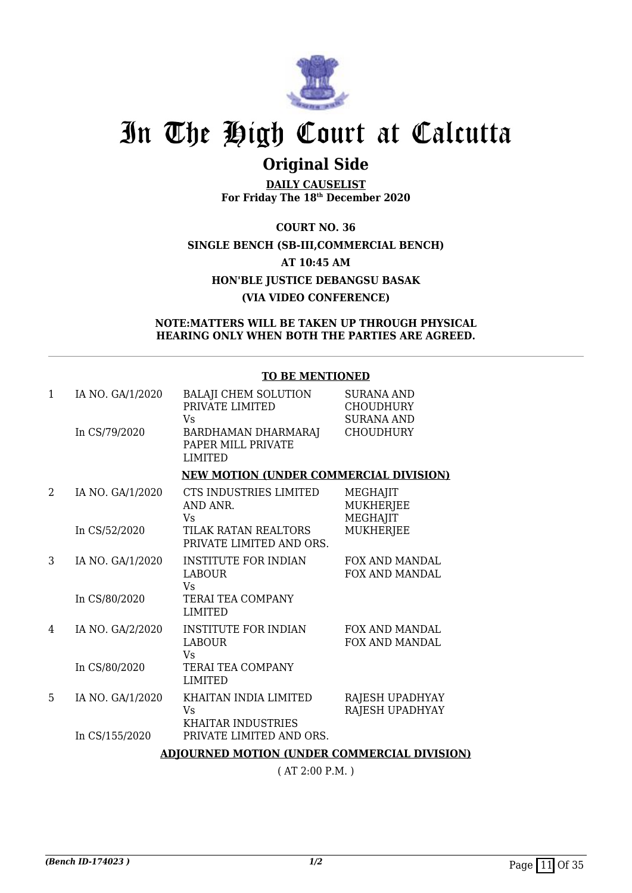

## **Original Side**

**DAILY CAUSELIST For Friday The 18th December 2020**

**COURT NO. 36 SINGLE BENCH (SB-III,COMMERCIAL BENCH) AT 10:45 AM HON'BLE JUSTICE DEBANGSU BASAK (VIA VIDEO CONFERENCE)**

#### **NOTE:MATTERS WILL BE TAKEN UP THROUGH PHYSICAL HEARING ONLY WHEN BOTH THE PARTIES ARE AGREED.**

### **TO BE MENTIONED**

| $\mathbf{1}$ | IA NO. GA/1/2020<br>In CS/79/2020 | <b>BALAJI CHEM SOLUTION</b><br>PRIVATE LIMITED<br>Vs<br>BARDHAMAN DHARMARAJ<br>PAPER MILL PRIVATE<br><b>LIMITED</b> | <b>SURANA AND</b><br><b>CHOUDHURY</b><br><b>SURANA AND</b><br><b>CHOUDHURY</b> |
|--------------|-----------------------------------|---------------------------------------------------------------------------------------------------------------------|--------------------------------------------------------------------------------|
|              |                                   | <b>NEW MOTION (UNDER COMMERCIAL DIVISION)</b>                                                                       |                                                                                |
| 2            | IA NO. GA/1/2020                  | CTS INDUSTRIES LIMITED<br>AND ANR.<br>Vs                                                                            | MEGHAJIT<br><b>MUKHERJEE</b><br><b>MEGHAJIT</b>                                |
|              | In CS/52/2020                     | TILAK RATAN REALTORS<br>PRIVATE LIMITED AND ORS.                                                                    | MUKHERJEE                                                                      |
| 3            | IA NO. GA/1/2020                  | <b>INSTITUTE FOR INDIAN</b><br><b>LABOUR</b><br>Vs                                                                  | <b>FOX AND MANDAL</b><br><b>FOX AND MANDAL</b>                                 |
|              | In CS/80/2020                     | <b>TERAI TEA COMPANY</b><br><b>LIMITED</b>                                                                          |                                                                                |
| 4            | IA NO. GA/2/2020                  | <b>INSTITUTE FOR INDIAN</b><br><b>LABOUR</b><br>Vs                                                                  | <b>FOX AND MANDAL</b><br>FOX AND MANDAL                                        |
|              | In CS/80/2020                     | <b>TERAI TEA COMPANY</b><br><b>LIMITED</b>                                                                          |                                                                                |
| 5            | IA NO. GA/1/2020                  | KHAITAN INDIA LIMITED<br>Vs<br>KHAITAR INDUSTRIES                                                                   | RAJESH UPADHYAY<br>RAJESH UPADHYAY                                             |
|              | In CS/155/2020                    | PRIVATE LIMITED AND ORS.                                                                                            |                                                                                |
|              |                                   | <b>ADJOURNED MOTION (UNDER COMMERCIAL DIVISION)</b>                                                                 |                                                                                |
|              |                                   |                                                                                                                     |                                                                                |

( AT 2:00 P.M. )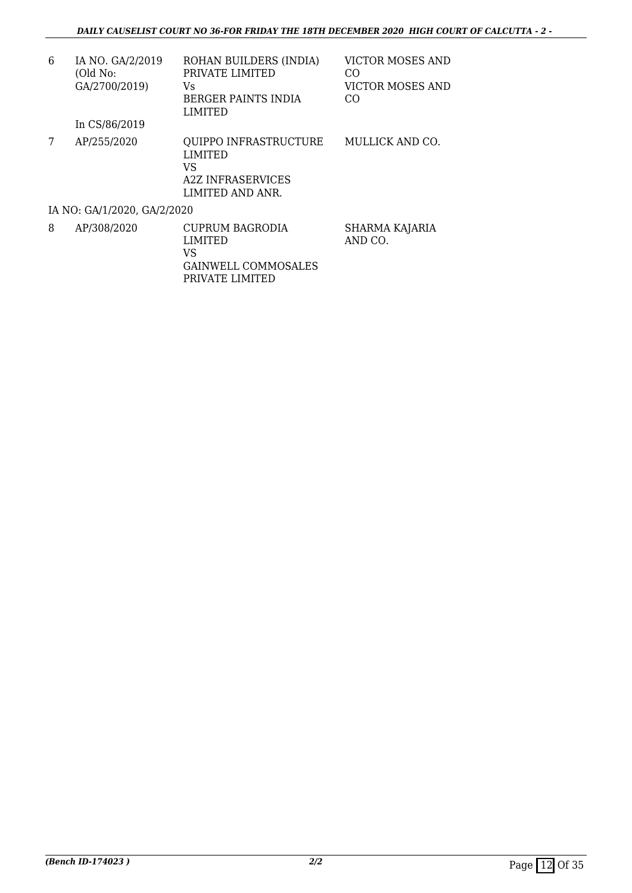| 6 | IA NO. GA/2/2019 | ROHAN BUILDERS (INDIA) |
|---|------------------|------------------------|
|   | (Old No:         | PRIVATE LIMITED        |
|   | GA/2700/2019)    | Vs                     |
|   |                  | BERGER PAINTS INDIA    |
|   |                  | <b>LIMITED</b>         |

VICTOR MOSES AND CO VICTOR MOSES AND CO

| AP/255/2020 | QUIPPO INFRASTRUCTURE<br>LIMITED<br>VS | MULLICK AND CO. |
|-------------|----------------------------------------|-----------------|
|             | A2Z INFRASERVICES                      |                 |
|             | LIMITED AND ANR.                       |                 |

IA NO: GA/1/2020, GA/2/2020

In CS/86/2019

| 8 | AP/308/2020 | CUPRUM BAGRODIA<br>LIMITED<br>VS<br>GAINWELL COMMOSALES<br>PRIVATE LIMITED | SHARMA KAJARIA<br>AND CO. |
|---|-------------|----------------------------------------------------------------------------|---------------------------|
|   |             |                                                                            |                           |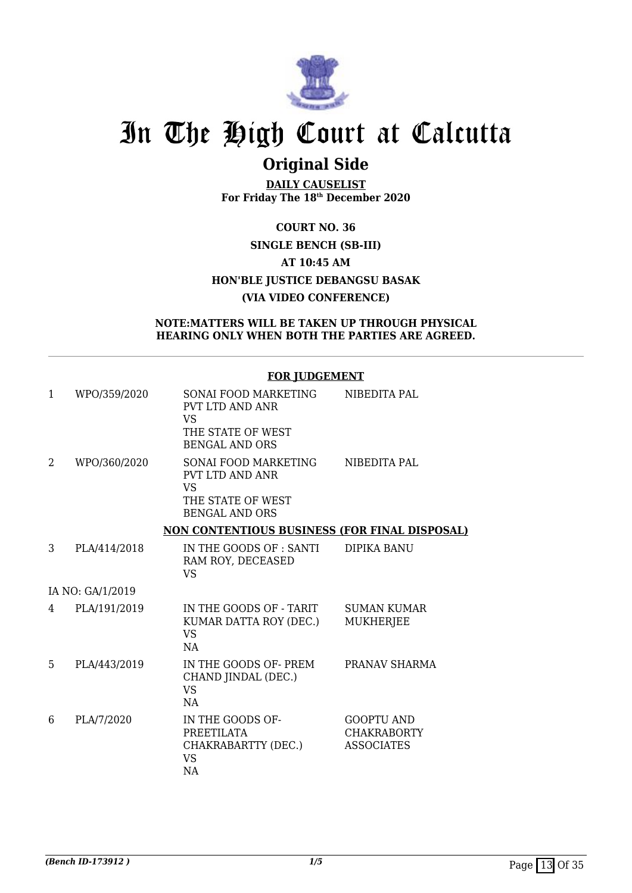

## **Original Side**

**DAILY CAUSELIST For Friday The 18th December 2020**

**COURT NO. 36 SINGLE BENCH (SB-III) AT 10:45 AM HON'BLE JUSTICE DEBANGSU BASAK (VIA VIDEO CONFERENCE)**

#### **NOTE:MATTERS WILL BE TAKEN UP THROUGH PHYSICAL HEARING ONLY WHEN BOTH THE PARTIES ARE AGREED.**

|                |                  | <b>FOR JUDGEMENT</b>                                                                                |                                                              |
|----------------|------------------|-----------------------------------------------------------------------------------------------------|--------------------------------------------------------------|
| 1              | WPO/359/2020     | SONAI FOOD MARKETING<br><b>PVT LTD AND ANR</b><br>VS.<br>THE STATE OF WEST<br><b>BENGAL AND ORS</b> | NIBEDITA PAL                                                 |
| $\overline{2}$ | WPO/360/2020     | SONAI FOOD MARKETING<br>PVT LTD AND ANR<br>VS.<br>THE STATE OF WEST<br><b>BENGAL AND ORS</b>        | NIBEDITA PAL                                                 |
|                |                  | NON CONTENTIOUS BUSINESS (FOR FINAL DISPOSAL)                                                       |                                                              |
| 3              | PLA/414/2018     | IN THE GOODS OF: SANTI<br>RAM ROY, DECEASED<br><b>VS</b>                                            | <b>DIPIKA BANU</b>                                           |
|                | IA NO: GA/1/2019 |                                                                                                     |                                                              |
| 4              | PLA/191/2019     | IN THE GOODS OF - TARIT<br>KUMAR DATTA ROY (DEC.)<br><b>VS</b><br>NA                                | <b>SUMAN KUMAR</b><br><b>MUKHERJEE</b>                       |
| 5              | PLA/443/2019     | IN THE GOODS OF- PREM<br>CHAND JINDAL (DEC.)<br><b>VS</b><br>NA                                     | PRANAV SHARMA                                                |
| 6              | PLA/7/2020       | IN THE GOODS OF-<br>PREETILATA<br>CHAKRABARTTY (DEC.)<br>VS.<br><b>NA</b>                           | <b>GOOPTU AND</b><br><b>CHAKRABORTY</b><br><b>ASSOCIATES</b> |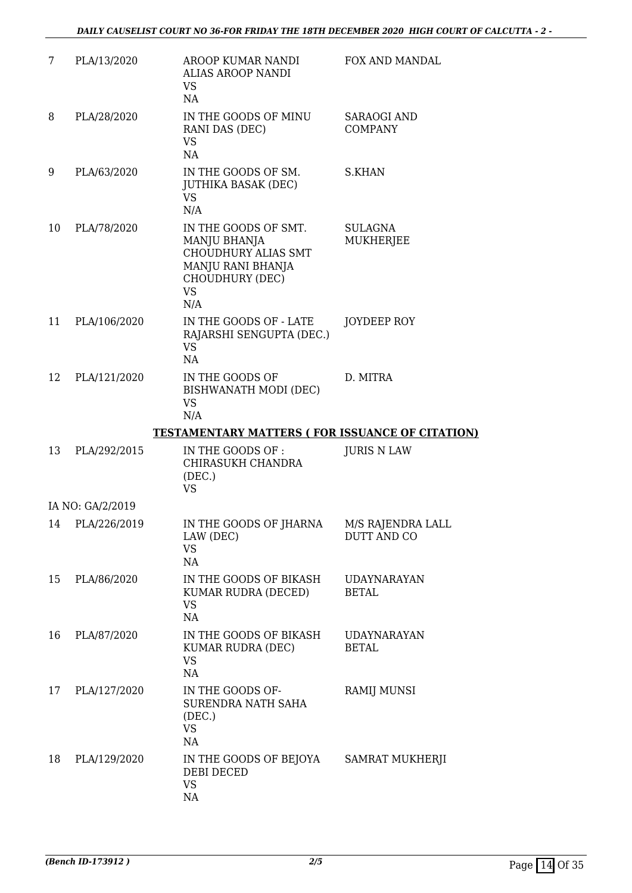| 7  | PLA/13/2020      | AROOP KUMAR NANDI<br><b>ALIAS AROOP NANDI</b><br><b>VS</b><br>NA                                                               | FOX AND MANDAL                       |
|----|------------------|--------------------------------------------------------------------------------------------------------------------------------|--------------------------------------|
| 8  | PLA/28/2020      | IN THE GOODS OF MINU<br>RANI DAS (DEC)<br><b>VS</b><br>NA                                                                      | <b>SARAOGI AND</b><br><b>COMPANY</b> |
| 9  | PLA/63/2020      | IN THE GOODS OF SM.<br>JUTHIKA BASAK (DEC)<br><b>VS</b><br>N/A                                                                 | <b>S.KHAN</b>                        |
| 10 | PLA/78/2020      | IN THE GOODS OF SMT.<br>MANJU BHANJA<br><b>CHOUDHURY ALIAS SMT</b><br>MANJU RANI BHANJA<br>CHOUDHURY (DEC)<br><b>VS</b><br>N/A | <b>SULAGNA</b><br><b>MUKHERJEE</b>   |
| 11 | PLA/106/2020     | IN THE GOODS OF - LATE<br>RAJARSHI SENGUPTA (DEC.)<br><b>VS</b><br>NA                                                          | JOYDEEP ROY                          |
| 12 | PLA/121/2020     | IN THE GOODS OF<br>BISHWANATH MODI (DEC)<br>VS<br>N/A                                                                          | D. MITRA                             |
|    |                  | <b>TESTAMENTARY MATTERS ( FOR ISSUANCE OF CITATION)</b>                                                                        |                                      |
| 13 | PLA/292/2015     | IN THE GOODS OF :<br>CHIRASUKH CHANDRA<br>(DEC.)<br><b>VS</b>                                                                  | <b>JURIS N LAW</b>                   |
|    | IA NO: GA/2/2019 |                                                                                                                                |                                      |
|    | 14 PLA/226/2019  | IN THE GOODS OF JHARNA<br>LAW (DEC)<br><b>VS</b><br>NA                                                                         | M/S RAJENDRA LALL<br>DUTT AND CO     |
| 15 | PLA/86/2020      | IN THE GOODS OF BIKASH UDAYNARAYAN<br>KUMAR RUDRA (DECED)<br>VS<br>NA                                                          | <b>BETAL</b>                         |
| 16 | PLA/87/2020      | IN THE GOODS OF BIKASH UDAYNARAYAN<br>KUMAR RUDRA (DEC)<br>VS<br>NA                                                            | BETAL                                |
| 17 | PLA/127/2020     | IN THE GOODS OF-<br>SURENDRA NATH SAHA<br>(DEC.)<br>VS<br>NA                                                                   | <b>RAMIJ MUNSI</b>                   |
| 18 | PLA/129/2020     | IN THE GOODS OF BEJOYA SAMRAT MUKHERJI<br>DEBI DECED<br>VS<br>NA                                                               |                                      |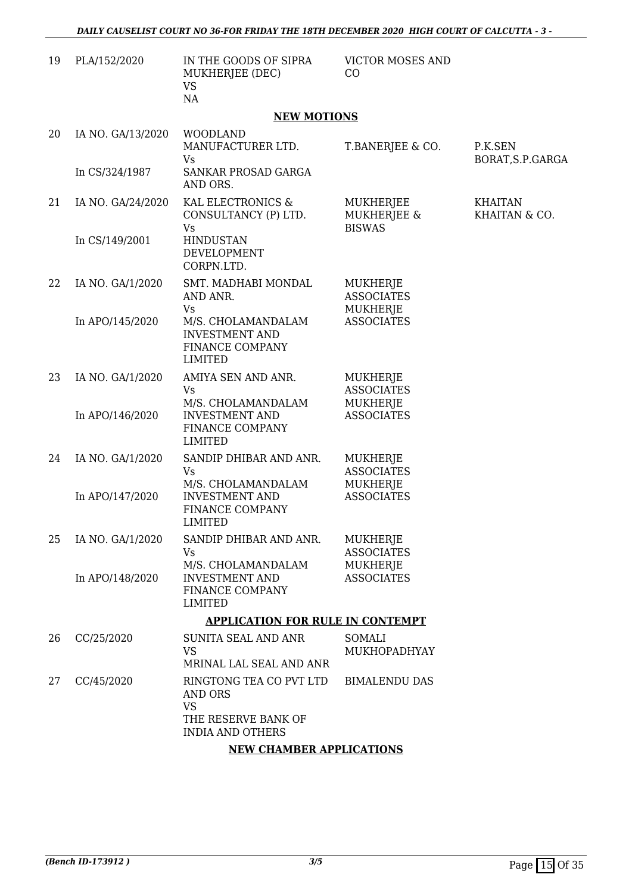| 19 | PLA/152/2020                        | IN THE GOODS OF SIPRA<br>MUKHERJEE (DEC)<br><b>VS</b><br>NA                                       | <b>VICTOR MOSES AND</b><br>CO                        |                                 |
|----|-------------------------------------|---------------------------------------------------------------------------------------------------|------------------------------------------------------|---------------------------------|
|    |                                     | <b>NEW MOTIONS</b>                                                                                |                                                      |                                 |
| 20 | IA NO. GA/13/2020<br>In CS/324/1987 | <b>WOODLAND</b><br>MANUFACTURER LTD.<br><b>Vs</b><br>SANKAR PROSAD GARGA                          | T.BANERJEE & CO.                                     | P.K.SEN<br>BORAT, S.P. GARGA    |
|    |                                     | AND ORS.                                                                                          |                                                      |                                 |
| 21 | IA NO. GA/24/2020                   | KAL ELECTRONICS &<br>CONSULTANCY (P) LTD.<br>Vs                                                   | MUKHERJEE<br><b>MUKHERJEE &amp;</b><br><b>BISWAS</b> | <b>KHAITAN</b><br>KHAITAN & CO. |
|    | In CS/149/2001                      | <b>HINDUSTAN</b><br>DEVELOPMENT<br>CORPN.LTD.                                                     |                                                      |                                 |
| 22 | IA NO. GA/1/2020                    | SMT. MADHABI MONDAL<br>AND ANR.<br>Vs                                                             | MUKHERJE<br><b>ASSOCIATES</b><br>MUKHERJE            |                                 |
|    | In APO/145/2020                     | M/S. CHOLAMANDALAM<br><b>INVESTMENT AND</b><br>FINANCE COMPANY<br><b>LIMITED</b>                  | <b>ASSOCIATES</b>                                    |                                 |
| 23 | IA NO. GA/1/2020                    | AMIYA SEN AND ANR.<br><b>Vs</b><br>M/S. CHOLAMANDALAM                                             | MUKHERJE<br><b>ASSOCIATES</b><br>MUKHERJE            |                                 |
|    | In APO/146/2020                     | <b>INVESTMENT AND</b><br>FINANCE COMPANY<br><b>LIMITED</b>                                        | <b>ASSOCIATES</b>                                    |                                 |
| 24 | IA NO. GA/1/2020                    | SANDIP DHIBAR AND ANR.<br>Vs<br>M/S. CHOLAMANDALAM                                                | MUKHERJE<br><b>ASSOCIATES</b><br>MUKHERJE            |                                 |
|    | In APO/147/2020                     | <b>INVESTMENT AND</b><br>FINANCE COMPANY<br><b>LIMITED</b>                                        | <b>ASSOCIATES</b>                                    |                                 |
| 25 | IA NO. GA/1/2020                    | SANDIP DHIBAR AND ANR.<br>Vs<br>M/S. CHOLAMANDALAM                                                | MUKHERJE<br><b>ASSOCIATES</b><br>MUKHERJE            |                                 |
|    | In APO/148/2020                     | <b>INVESTMENT AND</b><br>FINANCE COMPANY<br><b>LIMITED</b>                                        | <b>ASSOCIATES</b>                                    |                                 |
|    |                                     | <b>APPLICATION FOR RULE IN CONTEMPT</b>                                                           |                                                      |                                 |
| 26 | CC/25/2020                          | <b>SUNITA SEAL AND ANR</b><br><b>VS</b><br>MRINAL LAL SEAL AND ANR                                | <b>SOMALI</b><br>MUKHOPADHYAY                        |                                 |
| 27 | CC/45/2020                          | RINGTONG TEA CO PVT LTD<br>AND ORS<br><b>VS</b><br>THE RESERVE BANK OF<br><b>INDIA AND OTHERS</b> | <b>BIMALENDU DAS</b>                                 |                                 |
|    |                                     | <b>NEW CHAMBER APPLICATIONS</b>                                                                   |                                                      |                                 |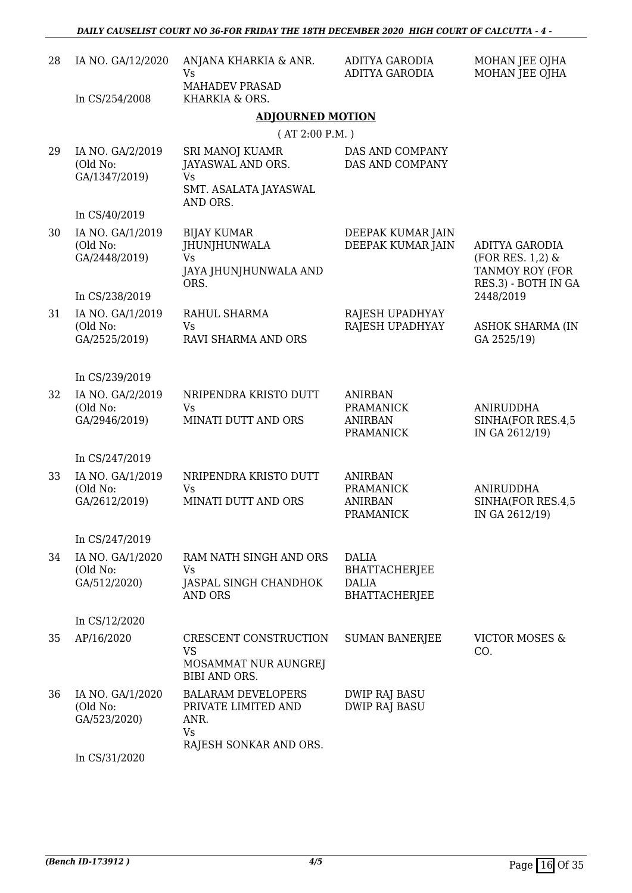| 28 | IA NO. GA/12/2020                                               | ANJANA KHARKIA & ANR.<br><b>Vs</b>                                                     | <b>ADITYA GARODIA</b><br>ADITYA GARODIA                                      | MOHAN JEE OJHA<br>MOHAN JEE OJHA                                                                    |
|----|-----------------------------------------------------------------|----------------------------------------------------------------------------------------|------------------------------------------------------------------------------|-----------------------------------------------------------------------------------------------------|
|    | In CS/254/2008                                                  | <b>MAHADEV PRASAD</b><br>KHARKIA & ORS.                                                |                                                                              |                                                                                                     |
|    |                                                                 | <b>ADJOURNED MOTION</b>                                                                |                                                                              |                                                                                                     |
|    |                                                                 | (AT 2:00 P.M.)                                                                         |                                                                              |                                                                                                     |
| 29 | IA NO. GA/2/2019<br>(Old No:<br>GA/1347/2019)                   | SRI MANOJ KUAMR<br>JAYASWAL AND ORS.<br><b>Vs</b><br>SMT. ASALATA JAYASWAL<br>AND ORS. | DAS AND COMPANY<br>DAS AND COMPANY                                           |                                                                                                     |
|    | In CS/40/2019                                                   |                                                                                        |                                                                              |                                                                                                     |
| 30 | IA NO. GA/1/2019<br>(Old No:<br>GA/2448/2019)<br>In CS/238/2019 | <b>BIJAY KUMAR</b><br>JHUNJHUNWALA<br><b>Vs</b><br>JAYA JHUNJHUNWALA AND<br>ORS.       | DEEPAK KUMAR JAIN<br>DEEPAK KUMAR JAIN                                       | <b>ADITYA GARODIA</b><br>$(FOR RES. 1, 2)$ &<br>TANMOY ROY (FOR<br>RES.3) - BOTH IN GA<br>2448/2019 |
| 31 | IA NO. GA/1/2019                                                | RAHUL SHARMA                                                                           | RAJESH UPADHYAY                                                              |                                                                                                     |
|    | (Old No:<br>GA/2525/2019)                                       | <b>Vs</b><br>RAVI SHARMA AND ORS                                                       | RAJESH UPADHYAY                                                              | <b>ASHOK SHARMA (IN</b><br>GA 2525/19)                                                              |
|    | In CS/239/2019                                                  |                                                                                        |                                                                              |                                                                                                     |
| 32 | IA NO. GA/2/2019<br>(Old No:<br>GA/2946/2019)                   | NRIPENDRA KRISTO DUTT<br><b>Vs</b><br>MINATI DUTT AND ORS                              | <b>ANIRBAN</b><br><b>PRAMANICK</b><br><b>ANIRBAN</b><br><b>PRAMANICK</b>     | <b>ANIRUDDHA</b><br>SINHA(FOR RES.4,5<br>IN GA 2612/19)                                             |
|    | In CS/247/2019                                                  |                                                                                        |                                                                              |                                                                                                     |
| 33 | IA NO. GA/1/2019<br>(Old No:<br>GA/2612/2019)                   | NRIPENDRA KRISTO DUTT<br><b>Vs</b><br>MINATI DUTT AND ORS                              | <b>ANIRBAN</b><br><b>PRAMANICK</b><br><b>ANIRBAN</b><br><b>PRAMANICK</b>     | <b>ANIRUDDHA</b><br>SINHA(FOR RES.4,5<br>IN GA 2612/19)                                             |
|    | In CS/247/2019                                                  |                                                                                        |                                                                              |                                                                                                     |
| 34 | IA NO. GA/1/2020<br>(Old No:<br>GA/512/2020)                    | RAM NATH SINGH AND ORS<br>Vs<br>JASPAL SINGH CHANDHOK<br><b>AND ORS</b>                | <b>DALIA</b><br><b>BHATTACHERJEE</b><br><b>DALIA</b><br><b>BHATTACHERJEE</b> |                                                                                                     |
|    | In CS/12/2020                                                   |                                                                                        |                                                                              |                                                                                                     |
| 35 | AP/16/2020                                                      | CRESCENT CONSTRUCTION<br><b>VS</b><br>MOSAMMAT NUR AUNGREJ<br>BIBI AND ORS.            | <b>SUMAN BANERJEE</b>                                                        | <b>VICTOR MOSES &amp;</b><br>CO.                                                                    |
| 36 | IA NO. GA/1/2020<br>(Old No:<br>GA/523/2020)                    | <b>BALARAM DEVELOPERS</b><br>PRIVATE LIMITED AND<br>ANR.<br><b>Vs</b>                  | <b>DWIP RAJ BASU</b><br><b>DWIP RAJ BASU</b>                                 |                                                                                                     |
|    | In CS/31/2020                                                   | RAJESH SONKAR AND ORS.                                                                 |                                                                              |                                                                                                     |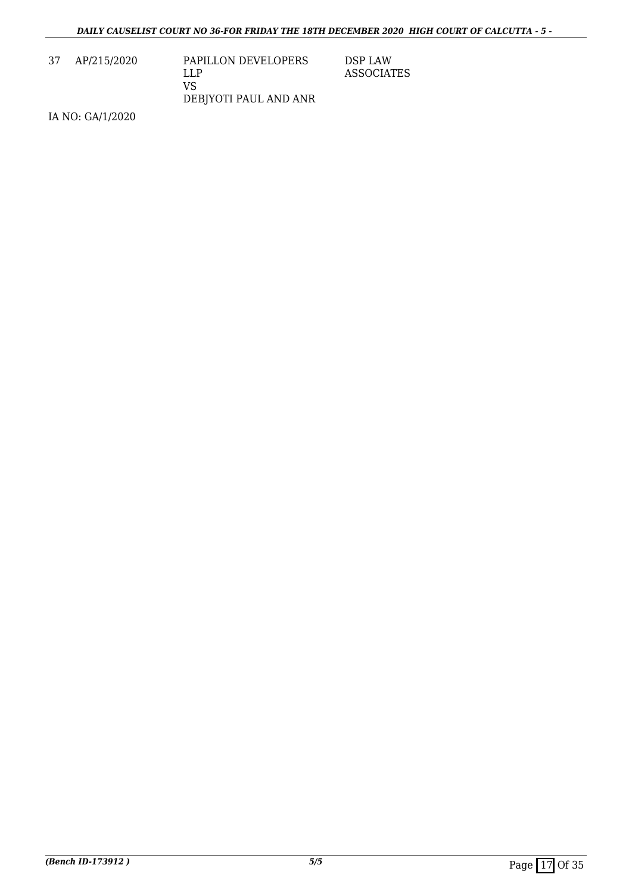37 AP/215/2020 PAPILLON DEVELOPERS LLP VS DEBJYOTI PAUL AND ANR DSP LAW ASSOCIATES

IA NO: GA/1/2020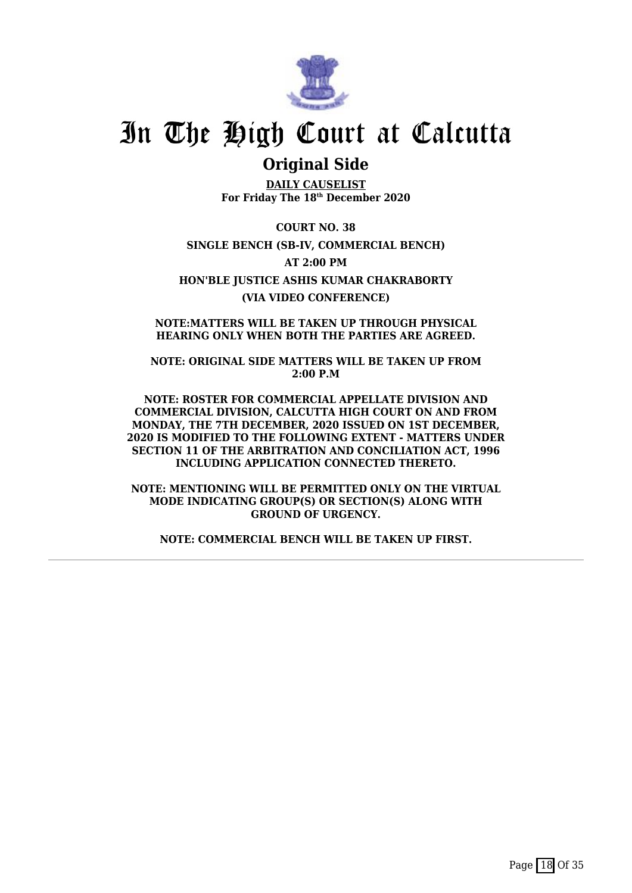

### **Original Side**

**DAILY CAUSELIST For Friday The 18th December 2020**

**COURT NO. 38 SINGLE BENCH (SB-IV, COMMERCIAL BENCH) AT 2:00 PM HON'BLE JUSTICE ASHIS KUMAR CHAKRABORTY (VIA VIDEO CONFERENCE)**

**NOTE:MATTERS WILL BE TAKEN UP THROUGH PHYSICAL HEARING ONLY WHEN BOTH THE PARTIES ARE AGREED.**

**NOTE: ORIGINAL SIDE MATTERS WILL BE TAKEN UP FROM 2:00 P.M**

**NOTE: ROSTER FOR COMMERCIAL APPELLATE DIVISION AND COMMERCIAL DIVISION, CALCUTTA HIGH COURT ON AND FROM MONDAY, THE 7TH DECEMBER, 2020 ISSUED ON 1ST DECEMBER, 2020 IS MODIFIED TO THE FOLLOWING EXTENT - MATTERS UNDER SECTION 11 OF THE ARBITRATION AND CONCILIATION ACT, 1996 INCLUDING APPLICATION CONNECTED THERETO.**

**NOTE: MENTIONING WILL BE PERMITTED ONLY ON THE VIRTUAL MODE INDICATING GROUP(S) OR SECTION(S) ALONG WITH GROUND OF URGENCY.**

**NOTE: COMMERCIAL BENCH WILL BE TAKEN UP FIRST.**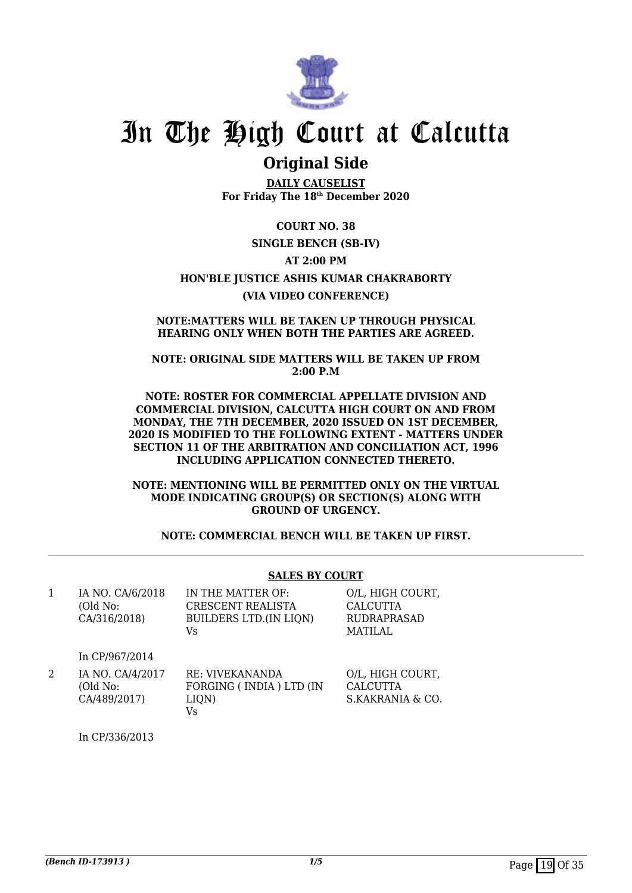

### **Original Side**

**DAILY CAUSELIST For Friday The 18th December 2020**

**COURT NO. 38**

#### **SINGLE BENCH (SB-IV)**

#### **AT 2:00 PM**

### **HON'BLE JUSTICE ASHIS KUMAR CHAKRABORTY**

#### **(VIA VIDEO CONFERENCE)**

#### **NOTE:MATTERS WILL BE TAKEN UP THROUGH PHYSICAL HEARING ONLY WHEN BOTH THE PARTIES ARE AGREED.**

#### **NOTE: ORIGINAL SIDE MATTERS WILL BE TAKEN UP FROM 2:00 P.M**

#### **NOTE: ROSTER FOR COMMERCIAL APPELLATE DIVISION AND COMMERCIAL DIVISION, CALCUTTA HIGH COURT ON AND FROM MONDAY, THE 7TH DECEMBER, 2020 ISSUED ON 1ST DECEMBER, 2020 IS MODIFIED TO THE FOLLOWING EXTENT - MATTERS UNDER SECTION 11 OF THE ARBITRATION AND CONCILIATION ACT, 1996 INCLUDING APPLICATION CONNECTED THERETO.**

**NOTE: MENTIONING WILL BE PERMITTED ONLY ON THE VIRTUAL MODE INDICATING GROUP(S) OR SECTION(S) ALONG WITH GROUND OF URGENCY.**

**NOTE: COMMERCIAL BENCH WILL BE TAKEN UP FIRST.**

### **SALES BY COURT**

1 IA NO. CA/6/2018 (Old No: CA/316/2018)

IN THE MATTER OF: CRESCENT REALISTA BUILDERS LTD.(IN LIQN) Vs

O/L, HIGH COURT, CALCUTTA RUDRAPRASAD MATILAL

#### In CP/967/2014

2 IA NO. CA/4/2017 (Old No: CA/489/2017)

RE: VIVEKANANDA FORGING ( INDIA ) LTD (IN LIQN) Vs

O/L, HIGH COURT, **CALCUTTA** S.KAKRANIA & CO.

In CP/336/2013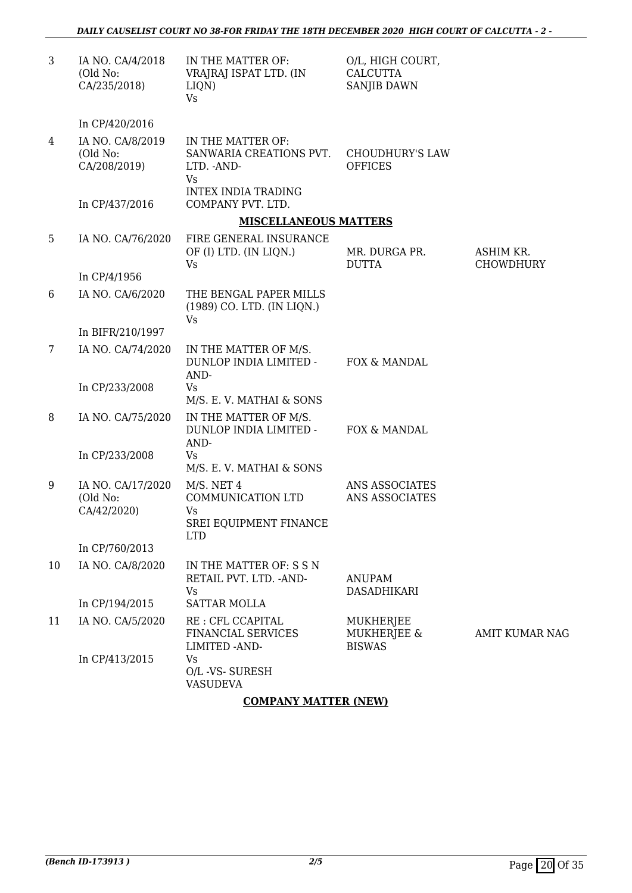| 3  | IA NO. CA/4/2018<br>(Old No:<br>CA/235/2018) | IN THE MATTER OF:<br>VRAJRAJ ISPAT LTD. (IN<br>LIQN)<br><b>Vs</b>        | O/L, HIGH COURT,<br><b>CALCUTTA</b><br><b>SANJIB DAWN</b> |                               |
|----|----------------------------------------------|--------------------------------------------------------------------------|-----------------------------------------------------------|-------------------------------|
|    | In CP/420/2016                               |                                                                          |                                                           |                               |
| 4  | IA NO. CA/8/2019<br>(Old No:<br>CA/208/2019) | IN THE MATTER OF:<br>SANWARIA CREATIONS PVT.<br>LTD. - AND-<br><b>Vs</b> | <b>CHOUDHURY'S LAW</b><br><b>OFFICES</b>                  |                               |
|    | In CP/437/2016                               | <b>INTEX INDIA TRADING</b><br>COMPANY PVT. LTD.                          |                                                           |                               |
|    |                                              | <b>MISCELLANEOUS MATTERS</b>                                             |                                                           |                               |
| 5  | IA NO. CA/76/2020                            | FIRE GENERAL INSURANCE<br>OF (I) LTD. (IN LIQN.)<br><b>Vs</b>            | MR. DURGA PR.<br><b>DUTTA</b>                             | ASHIM KR.<br><b>CHOWDHURY</b> |
|    | In CP/4/1956                                 |                                                                          |                                                           |                               |
| 6  | IA NO. CA/6/2020                             | THE BENGAL PAPER MILLS<br>(1989) CO. LTD. (IN LIQN.)<br><b>Vs</b>        |                                                           |                               |
|    | In BIFR/210/1997                             |                                                                          |                                                           |                               |
| 7  | IA NO. CA/74/2020                            | IN THE MATTER OF M/S.<br>DUNLOP INDIA LIMITED -<br>AND-                  | FOX & MANDAL                                              |                               |
|    | In CP/233/2008                               | Vs<br>M/S. E. V. MATHAI & SONS                                           |                                                           |                               |
| 8  | IA NO. CA/75/2020                            | IN THE MATTER OF M/S.<br>DUNLOP INDIA LIMITED -<br>AND-                  | FOX & MANDAL                                              |                               |
|    | In CP/233/2008                               | Vs<br>M/S. E. V. MATHAI & SONS                                           |                                                           |                               |
| 9  | IA NO. CA/17/2020<br>(Old No:<br>CA/42/2020) | $M/S.$ NET 4<br>COMMUNICATION LTD<br>Vs                                  | ANS ASSOCIATES<br>ANS ASSOCIATES                          |                               |
|    |                                              | SREI EQUIPMENT FINANCE<br><b>LTD</b>                                     |                                                           |                               |
|    | In CP/760/2013                               |                                                                          |                                                           |                               |
| 10 | IA NO. CA/8/2020                             | IN THE MATTER OF: S S N<br>RETAIL PVT. LTD. - AND-<br>Vs                 | ANUPAM<br><b>DASADHIKARI</b>                              |                               |
|    | In CP/194/2015                               | <b>SATTAR MOLLA</b>                                                      |                                                           |                               |
| 11 | IA NO. CA/5/2020                             | RE : CFL CCAPITAL<br><b>FINANCIAL SERVICES</b><br><b>LIMITED -AND-</b>   | MUKHERJEE<br><b>MUKHERJEE &amp;</b><br><b>BISWAS</b>      | <b>AMIT KUMAR NAG</b>         |
|    | In CP/413/2015                               | <b>Vs</b><br>O/L -VS- SURESH<br><b>VASUDEVA</b>                          |                                                           |                               |

### **COMPANY MATTER (NEW)**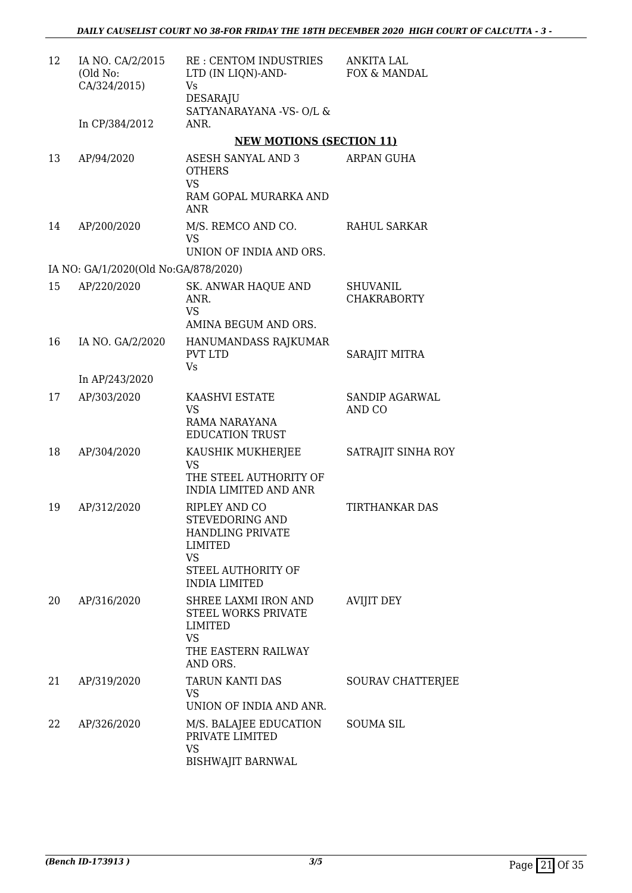| 12 | IA NO. CA/2/2015<br>(Old No:<br>CA/324/2015) | RE : CENTOM INDUSTRIES<br>LTD (IN LIQN)-AND-<br>Vs<br>DESARAJU<br>SATYANARAYANA -VS- O/L &                                               | <b>ANKITA LAL</b><br>FOX & MANDAL     |
|----|----------------------------------------------|------------------------------------------------------------------------------------------------------------------------------------------|---------------------------------------|
|    | In CP/384/2012                               | ANR.<br><b>NEW MOTIONS (SECTION 11)</b>                                                                                                  |                                       |
| 13 | AP/94/2020                                   | <b>ASESH SANYAL AND 3</b><br><b>OTHERS</b><br><b>VS</b>                                                                                  | <b>ARPAN GUHA</b>                     |
|    |                                              | RAM GOPAL MURARKA AND<br><b>ANR</b>                                                                                                      |                                       |
| 14 | AP/200/2020                                  | M/S. REMCO AND CO.<br><b>VS</b><br>UNION OF INDIA AND ORS.                                                                               | RAHUL SARKAR                          |
|    | IA NO: GA/1/2020(Old No:GA/878/2020)         |                                                                                                                                          |                                       |
| 15 | AP/220/2020                                  | <b>SK. ANWAR HAQUE AND</b><br>ANR.<br><b>VS</b><br>AMINA BEGUM AND ORS.                                                                  | <b>SHUVANIL</b><br><b>CHAKRABORTY</b> |
| 16 | IA NO. GA/2/2020                             | HANUMANDASS RAJKUMAR<br><b>PVT LTD</b><br>Vs                                                                                             | SARAJIT MITRA                         |
|    | In AP/243/2020                               |                                                                                                                                          |                                       |
| 17 | AP/303/2020                                  | KAASHVI ESTATE<br><b>VS</b><br>RAMA NARAYANA<br><b>EDUCATION TRUST</b>                                                                   | SANDIP AGARWAL<br>AND CO              |
| 18 | AP/304/2020                                  | KAUSHIK MUKHERJEE<br>VS<br>THE STEEL AUTHORITY OF<br><b>INDIA LIMITED AND ANR</b>                                                        | SATRAJIT SINHA ROY                    |
| 19 | AP/312/2020                                  | RIPLEY AND CO<br>STEVEDORING AND<br><b>HANDLING PRIVATE</b><br><b>LIMITED</b><br><b>VS</b><br>STEEL AUTHORITY OF<br><b>INDIA LIMITED</b> | <b>TIRTHANKAR DAS</b>                 |
| 20 | AP/316/2020                                  | SHREE LAXMI IRON AND<br>STEEL WORKS PRIVATE<br>LIMITED<br><b>VS</b><br>THE EASTERN RAILWAY<br>AND ORS.                                   | <b>AVIJIT DEY</b>                     |
| 21 | AP/319/2020                                  | TARUN KANTI DAS<br><b>VS</b><br>UNION OF INDIA AND ANR.                                                                                  | SOURAV CHATTERJEE                     |
| 22 | AP/326/2020                                  | M/S. BALAJEE EDUCATION<br>PRIVATE LIMITED<br><b>VS</b><br><b>BISHWAJIT BARNWAL</b>                                                       | <b>SOUMA SIL</b>                      |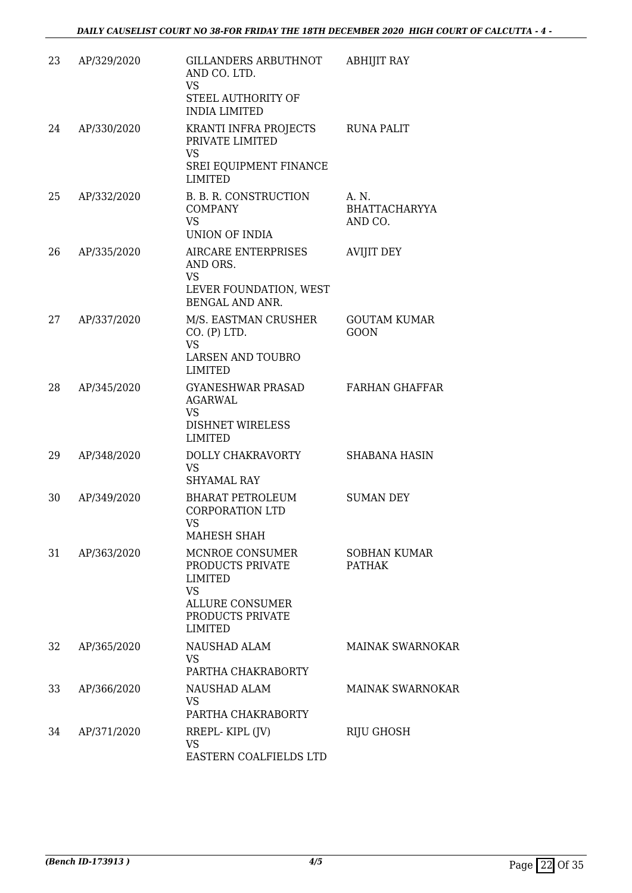| 23 | AP/329/2020 | <b>GILLANDERS ARBUTHNOT</b><br>AND CO. LTD.<br><b>VS</b><br>STEEL AUTHORITY OF<br><b>INDIA LIMITED</b>                             | <b>ABHIJIT RAY</b>                       |
|----|-------------|------------------------------------------------------------------------------------------------------------------------------------|------------------------------------------|
| 24 | AP/330/2020 | KRANTI INFRA PROJECTS<br>PRIVATE LIMITED<br><b>VS</b><br>SREI EQUIPMENT FINANCE<br><b>LIMITED</b>                                  | <b>RUNA PALIT</b>                        |
| 25 | AP/332/2020 | B. B. R. CONSTRUCTION<br><b>COMPANY</b><br><b>VS</b><br><b>UNION OF INDIA</b>                                                      | A. N.<br><b>BHATTACHARYYA</b><br>AND CO. |
| 26 | AP/335/2020 | AIRCARE ENTERPRISES<br>AND ORS.<br><b>VS</b><br>LEVER FOUNDATION, WEST<br>BENGAL AND ANR.                                          | <b>AVIJIT DEY</b>                        |
| 27 | AP/337/2020 | M/S. EASTMAN CRUSHER<br>CO. (P) LTD.<br><b>VS</b><br><b>LARSEN AND TOUBRO</b><br><b>LIMITED</b>                                    | <b>GOUTAM KUMAR</b><br><b>GOON</b>       |
| 28 | AP/345/2020 | <b>GYANESHWAR PRASAD</b><br><b>AGARWAL</b><br><b>VS</b><br><b>DISHNET WIRELESS</b><br><b>LIMITED</b>                               | <b>FARHAN GHAFFAR</b>                    |
| 29 | AP/348/2020 | DOLLY CHAKRAVORTY<br><b>VS</b><br><b>SHYAMAL RAY</b>                                                                               | <b>SHABANA HASIN</b>                     |
| 30 | AP/349/2020 | <b>BHARAT PETROLEUM</b><br>CORPORATION LTD<br>VS<br><b>MAHESH SHAH</b>                                                             | <b>SUMAN DEY</b>                         |
| 31 | AP/363/2020 | MCNROE CONSUMER<br>PRODUCTS PRIVATE<br><b>LIMITED</b><br><b>VS</b><br><b>ALLURE CONSUMER</b><br>PRODUCTS PRIVATE<br><b>LIMITED</b> | <b>SOBHAN KUMAR</b><br><b>PATHAK</b>     |
| 32 | AP/365/2020 | NAUSHAD ALAM<br><b>VS</b><br>PARTHA CHAKRABORTY                                                                                    | <b>MAINAK SWARNOKAR</b>                  |
| 33 | AP/366/2020 | NAUSHAD ALAM<br><b>VS</b><br>PARTHA CHAKRABORTY                                                                                    | MAINAK SWARNOKAR                         |
| 34 | AP/371/2020 | RREPL-KIPL (JV)<br><b>VS</b><br>EASTERN COALFIELDS LTD                                                                             | RIJU GHOSH                               |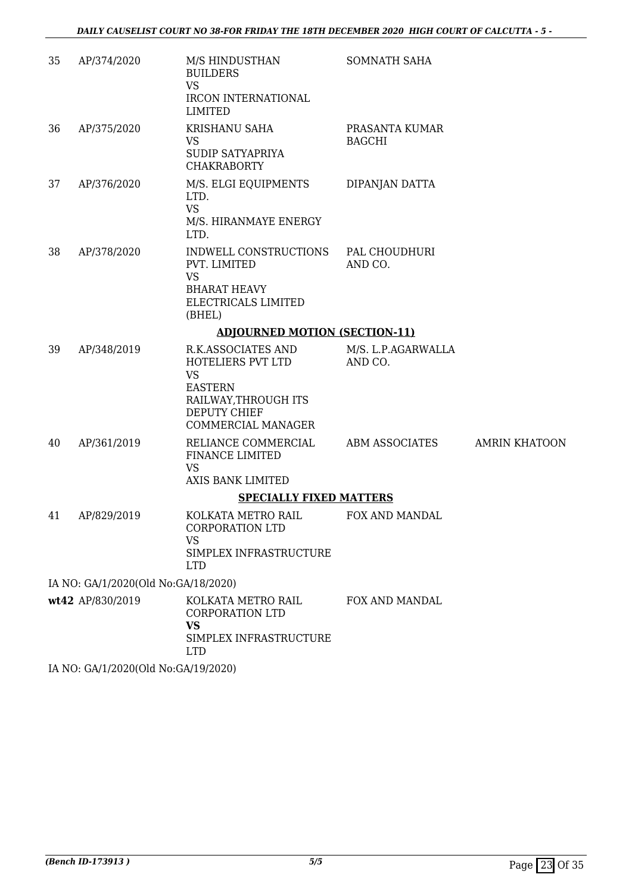| 35 | AP/374/2020                         | M/S HINDUSTHAN<br><b>BUILDERS</b><br><b>VS</b>                                                                                       | <b>SOMNATH SAHA</b>             |                      |
|----|-------------------------------------|--------------------------------------------------------------------------------------------------------------------------------------|---------------------------------|----------------------|
|    |                                     | <b>IRCON INTERNATIONAL</b><br><b>LIMITED</b>                                                                                         |                                 |                      |
| 36 | AP/375/2020                         | KRISHANU SAHA<br><b>VS</b><br>SUDIP SATYAPRIYA<br><b>CHAKRABORTY</b>                                                                 | PRASANTA KUMAR<br><b>BAGCHI</b> |                      |
| 37 | AP/376/2020                         | M/S. ELGI EQUIPMENTS<br>LTD.<br><b>VS</b><br>M/S. HIRANMAYE ENERGY<br>LTD.                                                           | DIPANJAN DATTA                  |                      |
| 38 | AP/378/2020                         | INDWELL CONSTRUCTIONS PAL CHOUDHURI<br>PVT. LIMITED<br><b>VS</b><br><b>BHARAT HEAVY</b><br>ELECTRICALS LIMITED<br>(BHEL)             | AND CO.                         |                      |
|    |                                     | <b>ADJOURNED MOTION (SECTION-11)</b>                                                                                                 |                                 |                      |
| 39 | AP/348/2019                         | R.K.ASSOCIATES AND<br>HOTELIERS PVT LTD<br><b>VS</b><br><b>EASTERN</b><br>RAILWAY, THROUGH ITS<br>DEPUTY CHIEF<br>COMMERCIAL MANAGER | M/S. L.P.AGARWALLA<br>AND CO.   |                      |
| 40 | AP/361/2019                         | RELIANCE COMMERCIAL<br>FINANCE LIMITED<br><b>VS</b><br><b>AXIS BANK LIMITED</b>                                                      | ABM ASSOCIATES                  | <b>AMRIN KHATOON</b> |
|    |                                     | <b>SPECIALLY FIXED MATTERS</b>                                                                                                       |                                 |                      |
| 41 | AP/829/2019                         | KOLKATA METRO RAIL<br><b>CORPORATION LTD</b><br><b>VS</b><br>SIMPLEX INFRASTRUCTURE<br><b>LTD</b>                                    | FOX AND MANDAL                  |                      |
|    | IA NO: GA/1/2020(Old No:GA/18/2020) |                                                                                                                                      |                                 |                      |
|    | wt42 AP/830/2019                    | KOLKATA METRO RAIL<br><b>CORPORATION LTD</b><br><b>VS</b><br>SIMPLEX INFRASTRUCTURE<br><b>LTD</b>                                    | <b>FOX AND MANDAL</b>           |                      |
|    | IA NO: GA/1/2020(Old No:GA/19/2020) |                                                                                                                                      |                                 |                      |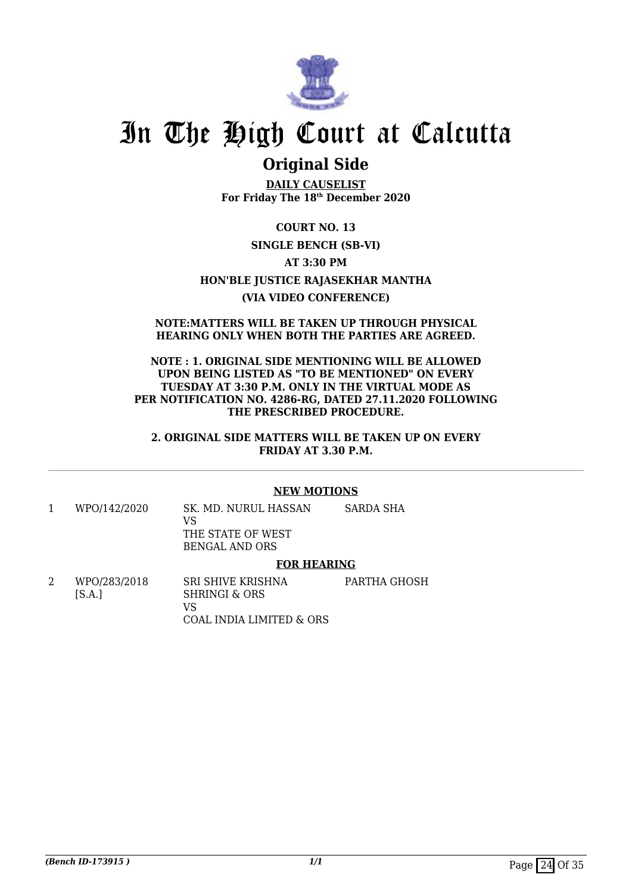

## **Original Side**

**DAILY CAUSELIST For Friday The 18th December 2020**

**COURT NO. 13 SINGLE BENCH (SB-VI) AT 3:30 PM HON'BLE JUSTICE RAJASEKHAR MANTHA (VIA VIDEO CONFERENCE)**

#### **NOTE:MATTERS WILL BE TAKEN UP THROUGH PHYSICAL HEARING ONLY WHEN BOTH THE PARTIES ARE AGREED.**

#### **NOTE : 1. ORIGINAL SIDE MENTIONING WILL BE ALLOWED UPON BEING LISTED AS "TO BE MENTIONED" ON EVERY TUESDAY AT 3:30 P.M. ONLY IN THE VIRTUAL MODE AS PER NOTIFICATION NO. 4286-RG, DATED 27.11.2020 FOLLOWING THE PRESCRIBED PROCEDURE.**

**2. ORIGINAL SIDE MATTERS WILL BE TAKEN UP ON EVERY FRIDAY AT 3.30 P.M.**

#### **NEW MOTIONS**

1 WPO/142/2020 SK. MD. NURUL HASSAN VS THE STATE OF WEST BENGAL AND ORS SARDA SHA

#### **FOR HEARING**

2 WPO/283/2018  $[S.A.]$ SRI SHIVE KRISHNA SHRINGI & ORS VS COAL INDIA LIMITED & ORS PARTHA GHOSH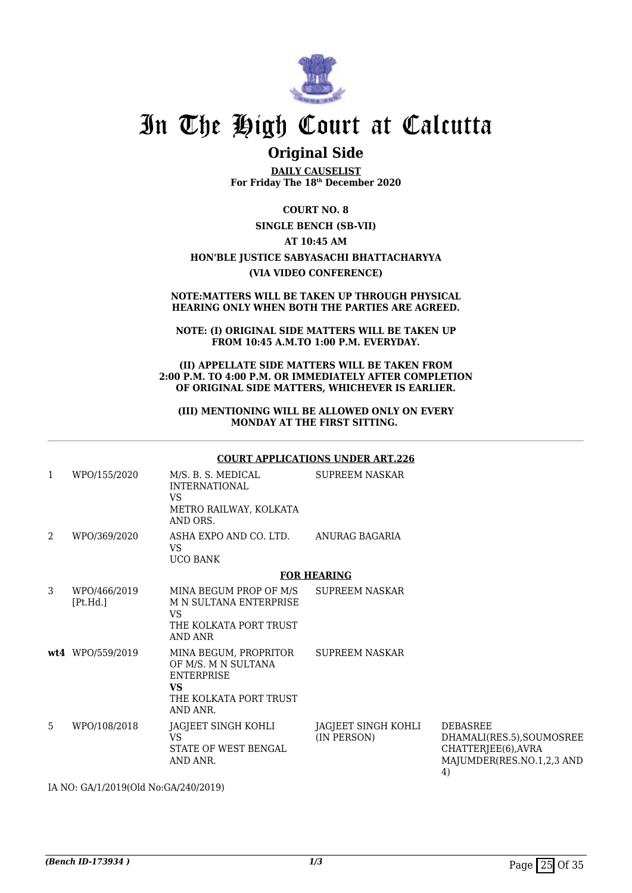

### **Original Side**

**DAILY CAUSELIST For Friday The 18th December 2020**

**COURT NO. 8 SINGLE BENCH (SB-VII) AT 10:45 AM HON'BLE JUSTICE SABYASACHI BHATTACHARYYA (VIA VIDEO CONFERENCE)**

#### **NOTE:MATTERS WILL BE TAKEN UP THROUGH PHYSICAL HEARING ONLY WHEN BOTH THE PARTIES ARE AGREED.**

**NOTE: (I) ORIGINAL SIDE MATTERS WILL BE TAKEN UP FROM 10:45 A.M.TO 1:00 P.M. EVERYDAY.**

#### **(II) APPELLATE SIDE MATTERS WILL BE TAKEN FROM 2:00 P.M. TO 4:00 P.M. OR IMMEDIATELY AFTER COMPLETION OF ORIGINAL SIDE MATTERS, WHICHEVER IS EARLIER.**

**(III) MENTIONING WILL BE ALLOWED ONLY ON EVERY MONDAY AT THE FIRST SITTING.** 

#### **COURT APPLICATIONS UNDER ART.226**

| 1 | WPO/155/2020             | M/S. B. S. MEDICAL<br><b>INTERNATIONAL</b><br><b>VS</b><br>METRO RAILWAY, KOLKATA<br>AND ORS.                        | <b>SUPREEM NASKAR</b>              |                                                                                                        |
|---|--------------------------|----------------------------------------------------------------------------------------------------------------------|------------------------------------|--------------------------------------------------------------------------------------------------------|
| 2 | WPO/369/2020             | ASHA EXPO AND CO. LTD.<br><b>VS</b><br><b>UCO BANK</b>                                                               | ANURAG BAGARIA                     |                                                                                                        |
|   |                          |                                                                                                                      | <b>FOR HEARING</b>                 |                                                                                                        |
| 3 | WPO/466/2019<br>[Pt.Hd.] | MINA BEGUM PROP OF M/S<br>M N SULTANA ENTERPRISE<br><b>VS</b><br>THE KOLKATA PORT TRUST<br><b>AND ANR</b>            | <b>SUPREEM NASKAR</b>              |                                                                                                        |
|   | wt4 WPO/559/2019         | MINA BEGUM, PROPRITOR<br>OF M/S. M N SULTANA<br><b>ENTERPRISE</b><br><b>VS</b><br>THE KOLKATA PORT TRUST<br>AND ANR. | <b>SUPREEM NASKAR</b>              |                                                                                                        |
| 5 | WPO/108/2018             | JAGJEET SINGH KOHLI<br><b>VS</b><br>STATE OF WEST BENGAL<br>AND ANR.                                                 | JAGJEET SINGH KOHLI<br>(IN PERSON) | <b>DEBASREE</b><br>DHAMALI(RES.5), SOUMOSREE<br>CHATTERJEE(6), AVRA<br>MAJUMDER(RES.NO.1,2,3 AND<br>4) |

IA NO: GA/1/2019(Old No:GA/240/2019)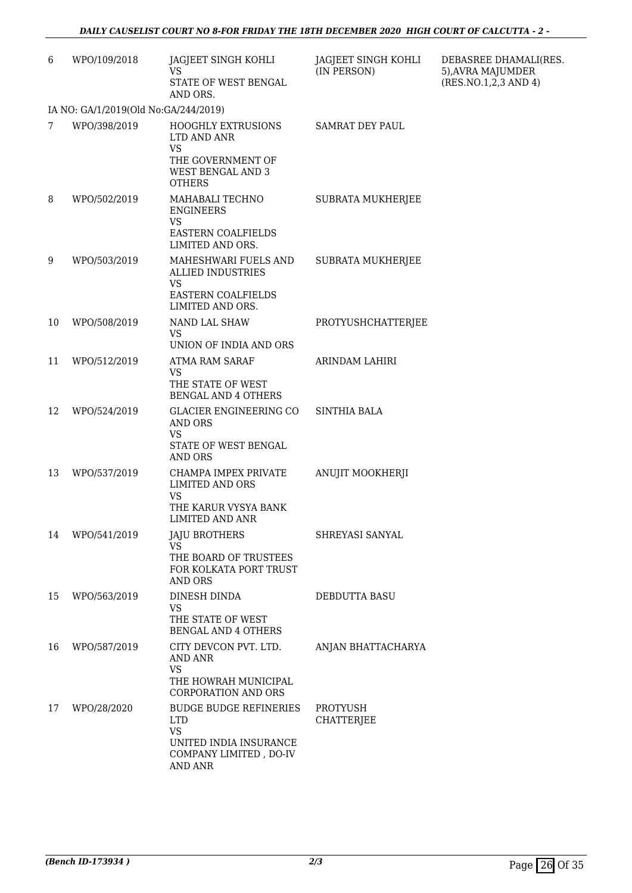| 6  | WPO/109/2018                         | JAGJEET SINGH KOHLI<br><b>VS</b><br>STATE OF WEST BENGAL                                                                | JAGJEET SINGH KOHLI<br>(IN PERSON) | DEBASREE DHAMALI(RES.<br>5), AVRA MAJUMDER<br>(RES.NO.1,2,3 AND 4) |
|----|--------------------------------------|-------------------------------------------------------------------------------------------------------------------------|------------------------------------|--------------------------------------------------------------------|
|    |                                      | AND ORS.                                                                                                                |                                    |                                                                    |
|    | IA NO: GA/1/2019(Old No:GA/244/2019) |                                                                                                                         |                                    |                                                                    |
| 7  | WPO/398/2019                         | <b>HOOGHLY EXTRUSIONS</b><br>LTD AND ANR<br><b>VS</b><br>THE GOVERNMENT OF<br><b>WEST BENGAL AND 3</b><br><b>OTHERS</b> | <b>SAMRAT DEY PAUL</b>             |                                                                    |
| 8  | WPO/502/2019                         | MAHABALI TECHNO<br><b>ENGINEERS</b><br><b>VS</b><br>EASTERN COALFIELDS<br>LIMITED AND ORS.                              | SUBRATA MUKHERJEE                  |                                                                    |
| 9  | WPO/503/2019                         | MAHESHWARI FUELS AND<br><b>ALLIED INDUSTRIES</b><br><b>VS</b><br>EASTERN COALFIELDS<br>LIMITED AND ORS.                 | <b>SUBRATA MUKHERJEE</b>           |                                                                    |
| 10 | WPO/508/2019                         | NAND LAL SHAW<br><b>VS</b><br>UNION OF INDIA AND ORS                                                                    | PROTYUSHCHATTERJEE                 |                                                                    |
| 11 | WPO/512/2019                         | ATMA RAM SARAF<br><b>VS</b><br>THE STATE OF WEST<br><b>BENGAL AND 4 OTHERS</b>                                          | ARINDAM LAHIRI                     |                                                                    |
| 12 | WPO/524/2019                         | <b>GLACIER ENGINEERING CO</b><br>AND ORS<br><b>VS</b><br>STATE OF WEST BENGAL<br>AND ORS                                | <b>SINTHIA BALA</b>                |                                                                    |
| 13 | WPO/537/2019                         | CHAMPA IMPEX PRIVATE<br><b>LIMITED AND ORS</b><br><b>VS</b><br>THE KARUR VYSYA BANK<br><b>LIMITED AND ANR</b>           | ANUJIT MOOKHERJI                   |                                                                    |
| 14 | WPO/541/2019                         | <b>JAJU BROTHERS</b><br><b>VS</b><br>THE BOARD OF TRUSTEES<br>FOR KOLKATA PORT TRUST<br>AND ORS                         | SHREYASI SANYAL                    |                                                                    |
| 15 | WPO/563/2019                         | DINESH DINDA<br><b>VS</b><br>THE STATE OF WEST<br><b>BENGAL AND 4 OTHERS</b>                                            | DEBDUTTA BASU                      |                                                                    |
| 16 | WPO/587/2019                         | CITY DEVCON PVT. LTD.<br>AND ANR<br>VS<br>THE HOWRAH MUNICIPAL<br><b>CORPORATION AND ORS</b>                            | ANJAN BHATTACHARYA                 |                                                                    |
| 17 | WPO/28/2020                          | <b>BUDGE BUDGE REFINERIES</b><br>LTD<br><b>VS</b><br>UNITED INDIA INSURANCE<br>COMPANY LIMITED, DO-IV<br>AND ANR        | PROTYUSH<br>CHATTERJEE             |                                                                    |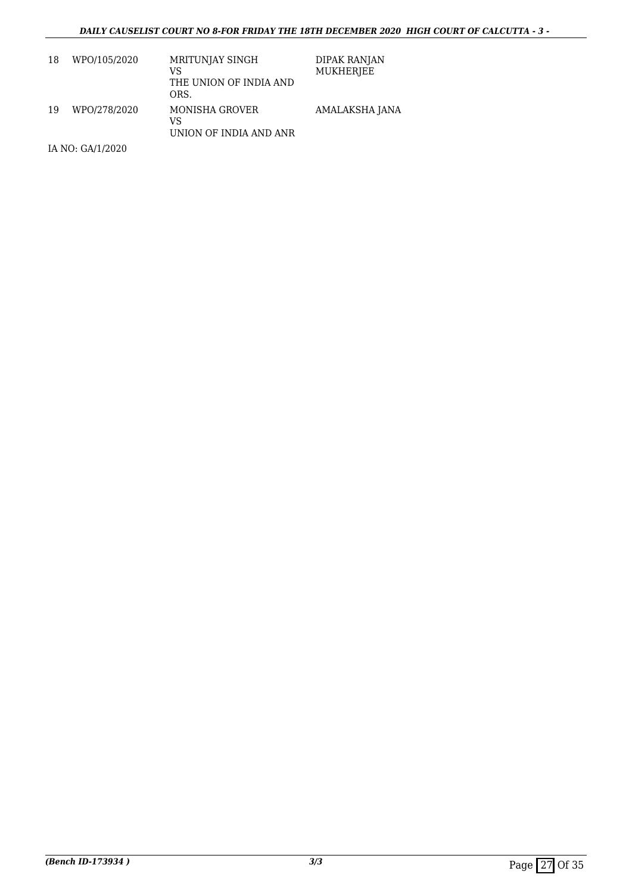| 18 | WPO/105/2020 | MRITUNIAY SINGH<br>VS<br>THE UNION OF INDIA AND<br>ORS. | DIPAK RANJAN<br>MUKHERJEE |
|----|--------------|---------------------------------------------------------|---------------------------|
| 19 | WPO/278/2020 | <b>MONISHA GROVER</b><br>VS<br>UNION OF INDIA AND ANR   | AMALAKSHA JANA            |

IA NO: GA/1/2020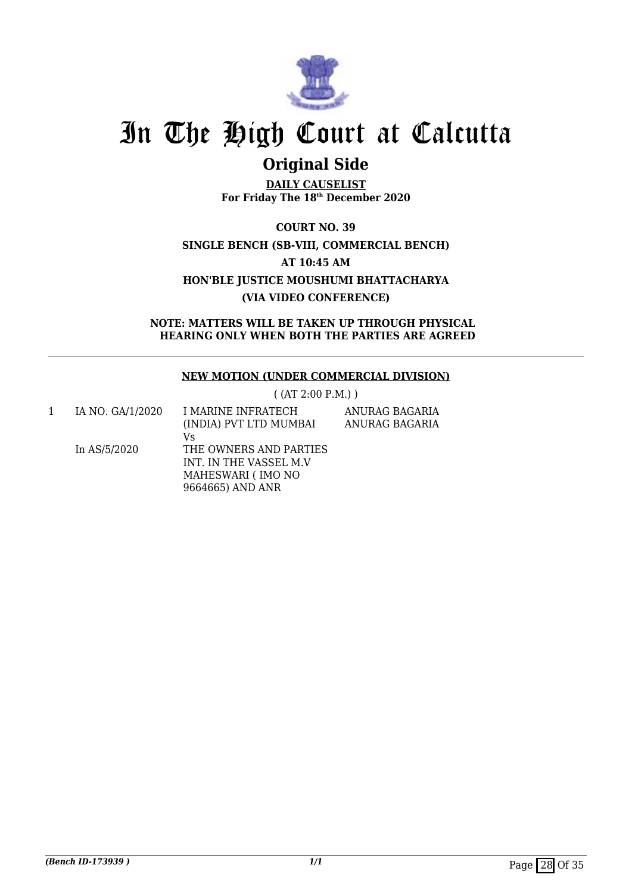

## **Original Side**

**DAILY CAUSELIST For Friday The 18th December 2020**

**COURT NO. 39 SINGLE BENCH (SB-VIII, COMMERCIAL BENCH) AT 10:45 AM HON'BLE JUSTICE MOUSHUMI BHATTACHARYA (VIA VIDEO CONFERENCE)**

**NOTE: MATTERS WILL BE TAKEN UP THROUGH PHYSICAL HEARING ONLY WHEN BOTH THE PARTIES ARE AGREED**

### **NEW MOTION (UNDER COMMERCIAL DIVISION)**

( (AT 2:00 P.M.) )

| IA NO. GA/1/2020 | I MARINE INFRATECH     | ANURAG BAGARIA |
|------------------|------------------------|----------------|
|                  | (INDIA) PVT LTD MUMBAI | ANURAG BAGARIA |
|                  | Vs                     |                |
| In AS/5/2020     | THE OWNERS AND PARTIES |                |
|                  | INT. IN THE VASSEL M.V |                |
|                  | MAHESWARI (IMO NO      |                |
|                  | 9664665) AND ANR       |                |
|                  |                        |                |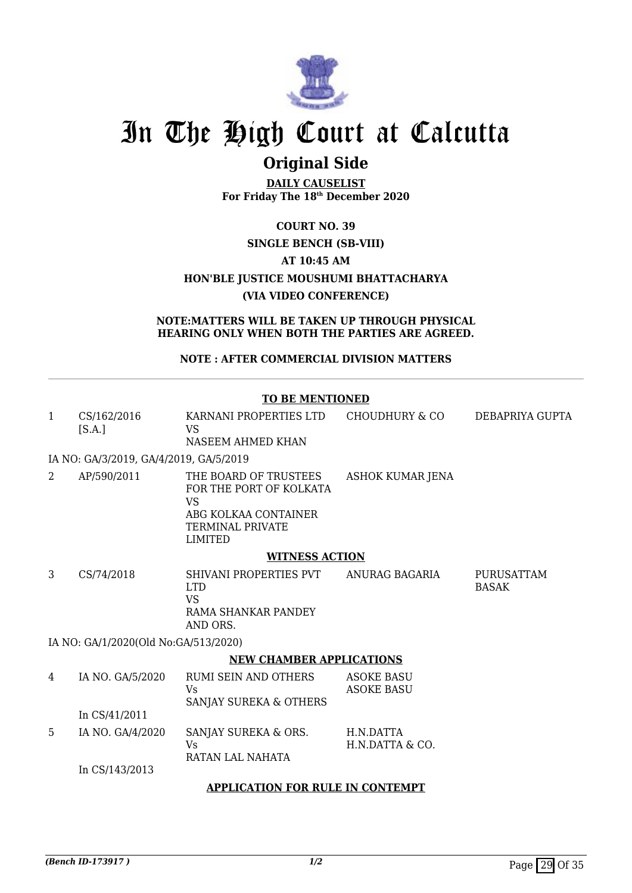

## **Original Side**

**DAILY CAUSELIST For Friday The 18th December 2020**

### **COURT NO. 39 SINGLE BENCH (SB-VIII) AT 10:45 AM HON'BLE JUSTICE MOUSHUMI BHATTACHARYA (VIA VIDEO CONFERENCE)**

**NOTE:MATTERS WILL BE TAKEN UP THROUGH PHYSICAL HEARING ONLY WHEN BOTH THE PARTIES ARE AGREED.**

**NOTE : AFTER COMMERCIAL DIVISION MATTERS**

#### **TO BE MENTIONED**

| $\mathbf{1}$                         | CS/162/2016<br>[S.A.]                  | KARNANI PROPERTIES LTD<br><b>VS</b><br>NASEEM AHMED KHAN                                                                    | CHOUDHURY & CO                         | DEBAPRIYA GUPTA            |  |
|--------------------------------------|----------------------------------------|-----------------------------------------------------------------------------------------------------------------------------|----------------------------------------|----------------------------|--|
|                                      | IA NO: GA/3/2019, GA/4/2019, GA/5/2019 |                                                                                                                             |                                        |                            |  |
| 2                                    | AP/590/2011                            | THE BOARD OF TRUSTEES<br>FOR THE PORT OF KOLKATA<br><b>VS</b><br>ABG KOLKAA CONTAINER<br>TERMINAL PRIVATE<br><b>LIMITED</b> | ASHOK KUMAR JENA                       |                            |  |
|                                      |                                        | <b>WITNESS ACTION</b>                                                                                                       |                                        |                            |  |
| 3                                    | CS/74/2018                             | SHIVANI PROPERTIES PVT<br><b>LTD</b><br><b>VS</b><br>RAMA SHANKAR PANDEY<br>AND ORS.                                        | ANURAG BAGARIA                         | PURUSATTAM<br><b>BASAK</b> |  |
| IA NO: GA/1/2020(Old No:GA/513/2020) |                                        |                                                                                                                             |                                        |                            |  |
| <b>NEW CHAMBER APPLICATIONS</b>      |                                        |                                                                                                                             |                                        |                            |  |
| 4                                    | IA NO. GA/5/2020<br>In CS/41/2011      | <b>RUMI SEIN AND OTHERS</b><br>Vs<br>SANJAY SUREKA & OTHERS                                                                 | <b>ASOKE BASU</b><br><b>ASOKE BASU</b> |                            |  |
| 5                                    | IA NO. GA/4/2020<br>In CS/143/2013     | SANJAY SUREKA & ORS.<br>Vs<br>RATAN LAL NAHATA                                                                              | H.N.DATTA<br>H.N.DATTA & CO.           |                            |  |
|                                      |                                        |                                                                                                                             |                                        |                            |  |

#### **APPLICATION FOR RULE IN CONTEMPT**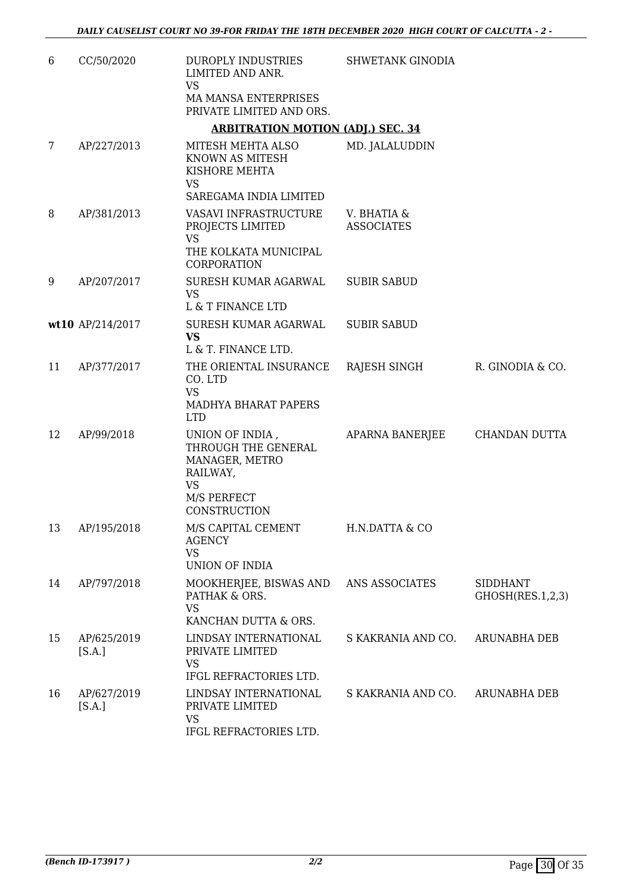| 6  | CC/50/2020            | <b>DUROPLY INDUSTRIES</b><br>LIMITED AND ANR.<br><b>VS</b><br><b>MA MANSA ENTERPRISES</b>                        | <b>SHWETANK GINODIA</b>          |                                     |
|----|-----------------------|------------------------------------------------------------------------------------------------------------------|----------------------------------|-------------------------------------|
|    |                       | PRIVATE LIMITED AND ORS.<br><b>ARBITRATION MOTION (ADJ.) SEC. 34</b>                                             |                                  |                                     |
| 7  | AP/227/2013           | MITESH MEHTA ALSO<br>KNOWN AS MITESH<br>KISHORE MEHTA<br><b>VS</b><br>SAREGAMA INDIA LIMITED                     | MD. JALALUDDIN                   |                                     |
| 8  | AP/381/2013           | VASAVI INFRASTRUCTURE<br>PROJECTS LIMITED<br><b>VS</b><br>THE KOLKATA MUNICIPAL<br><b>CORPORATION</b>            | V. BHATIA &<br><b>ASSOCIATES</b> |                                     |
| 9  | AP/207/2017           | SURESH KUMAR AGARWAL<br><b>VS</b><br>L & T FINANCE LTD                                                           | <b>SUBIR SABUD</b>               |                                     |
|    | wt10 AP/214/2017      | SURESH KUMAR AGARWAL<br><b>VS</b><br>L & T. FINANCE LTD.                                                         | <b>SUBIR SABUD</b>               |                                     |
| 11 | AP/377/2017           | THE ORIENTAL INSURANCE<br>CO. LTD<br><b>VS</b><br>MADHYA BHARAT PAPERS<br><b>LTD</b>                             | RAJESH SINGH                     | R. GINODIA & CO.                    |
| 12 | AP/99/2018            | UNION OF INDIA,<br>THROUGH THE GENERAL<br>MANAGER, METRO<br>RAILWAY,<br><b>VS</b><br>M/S PERFECT<br>CONSTRUCTION | APARNA BANERJEE                  | CHANDAN DUTTA                       |
| 13 | AP/195/2018           | M/S CAPITAL CEMENT<br><b>AGENCY</b><br><b>VS</b><br>UNION OF INDIA                                               | H.N.DATTA & CO                   |                                     |
| 14 | AP/797/2018           | MOOKHERJEE, BISWAS AND<br>PATHAK & ORS.<br><b>VS</b>                                                             | ANS ASSOCIATES                   | <b>SIDDHANT</b><br>GHOSH(RES.1,2,3) |
| 15 | AP/625/2019<br>[S.A.] | KANCHAN DUTTA & ORS.<br>LINDSAY INTERNATIONAL<br>PRIVATE LIMITED<br><b>VS</b><br>IFGL REFRACTORIES LTD.          | S KAKRANIA AND CO.               | <b>ARUNABHA DEB</b>                 |
| 16 | AP/627/2019<br>[S.A.] | LINDSAY INTERNATIONAL<br>PRIVATE LIMITED<br><b>VS</b><br>IFGL REFRACTORIES LTD.                                  | S KAKRANIA AND CO.               | ARUNABHA DEB                        |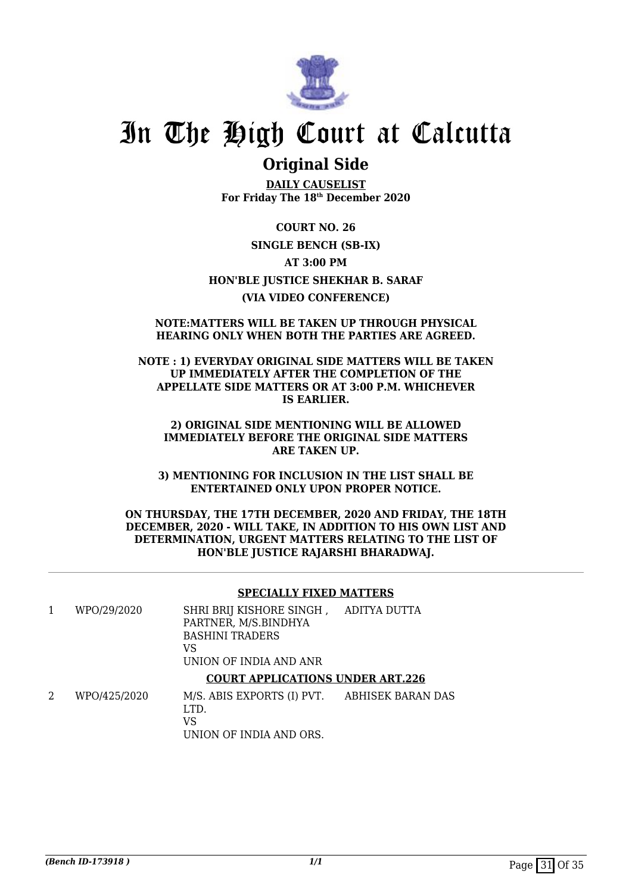

### **Original Side**

**DAILY CAUSELIST For Friday The 18th December 2020**

**COURT NO. 26 SINGLE BENCH (SB-IX) AT 3:00 PM HON'BLE JUSTICE SHEKHAR B. SARAF (VIA VIDEO CONFERENCE)**

#### **NOTE:MATTERS WILL BE TAKEN UP THROUGH PHYSICAL HEARING ONLY WHEN BOTH THE PARTIES ARE AGREED.**

**NOTE : 1) EVERYDAY ORIGINAL SIDE MATTERS WILL BE TAKEN UP IMMEDIATELY AFTER THE COMPLETION OF THE APPELLATE SIDE MATTERS OR AT 3:00 P.M. WHICHEVER IS EARLIER.**

**2) ORIGINAL SIDE MENTIONING WILL BE ALLOWED IMMEDIATELY BEFORE THE ORIGINAL SIDE MATTERS ARE TAKEN UP.**

**3) MENTIONING FOR INCLUSION IN THE LIST SHALL BE ENTERTAINED ONLY UPON PROPER NOTICE.**

#### **ON THURSDAY, THE 17TH DECEMBER, 2020 AND FRIDAY, THE 18TH DECEMBER, 2020 - WILL TAKE, IN ADDITION TO HIS OWN LIST AND DETERMINATION, URGENT MATTERS RELATING TO THE LIST OF HON'BLE JUSTICE RAJARSHI BHARADWAJ.**

#### **SPECIALLY FIXED MATTERS**

| WPO/29/2020  | SHRI BRIJ KISHORE SINGH, ADITYA DUTTA<br>PARTNER, M/S.BINDHYA<br><b>BASHINI TRADERS</b><br>VS<br>UNION OF INDIA AND ANR |                  |
|--------------|-------------------------------------------------------------------------------------------------------------------------|------------------|
|              | <b>COURT APPLICATIONS UNDER ART.226</b>                                                                                 |                  |
| WPO/425/2020 | M/S ARIS EXPORTS (I) PVT                                                                                                | ARHISEK BARAN DA |

#### 2 WPO/425/2020 M/S. ABIS EXPORTS (I) PVT. LTD. VS UNION OF INDIA AND ORS. ABHISEK BARAN DAS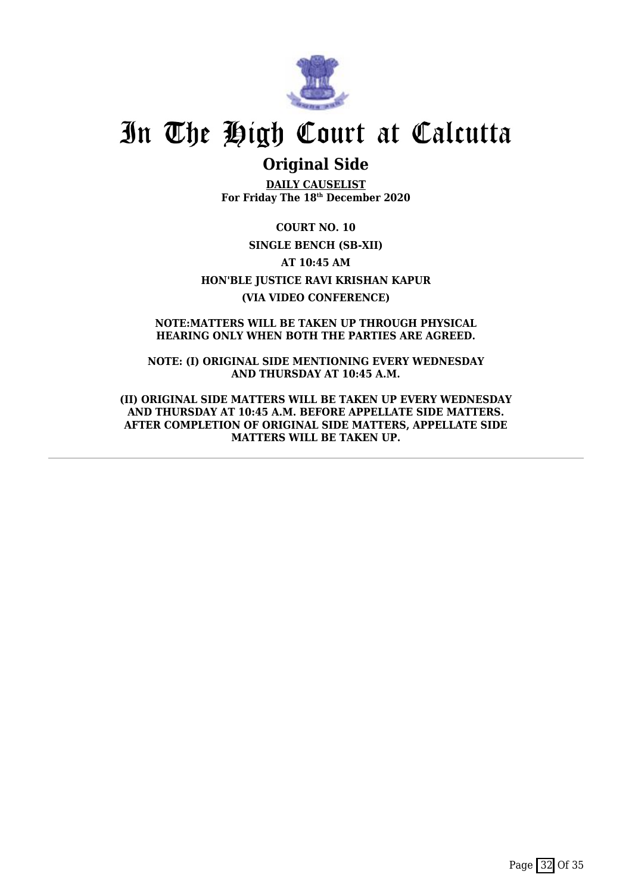

### **Original Side**

**DAILY CAUSELIST For Friday The 18th December 2020**

**COURT NO. 10 SINGLE BENCH (SB-XII) AT 10:45 AM HON'BLE JUSTICE RAVI KRISHAN KAPUR (VIA VIDEO CONFERENCE)**

**NOTE:MATTERS WILL BE TAKEN UP THROUGH PHYSICAL HEARING ONLY WHEN BOTH THE PARTIES ARE AGREED.**

**NOTE: (I) ORIGINAL SIDE MENTIONING EVERY WEDNESDAY AND THURSDAY AT 10:45 A.M.**

**(II) ORIGINAL SIDE MATTERS WILL BE TAKEN UP EVERY WEDNESDAY AND THURSDAY AT 10:45 A.M. BEFORE APPELLATE SIDE MATTERS. AFTER COMPLETION OF ORIGINAL SIDE MATTERS, APPELLATE SIDE MATTERS WILL BE TAKEN UP.**

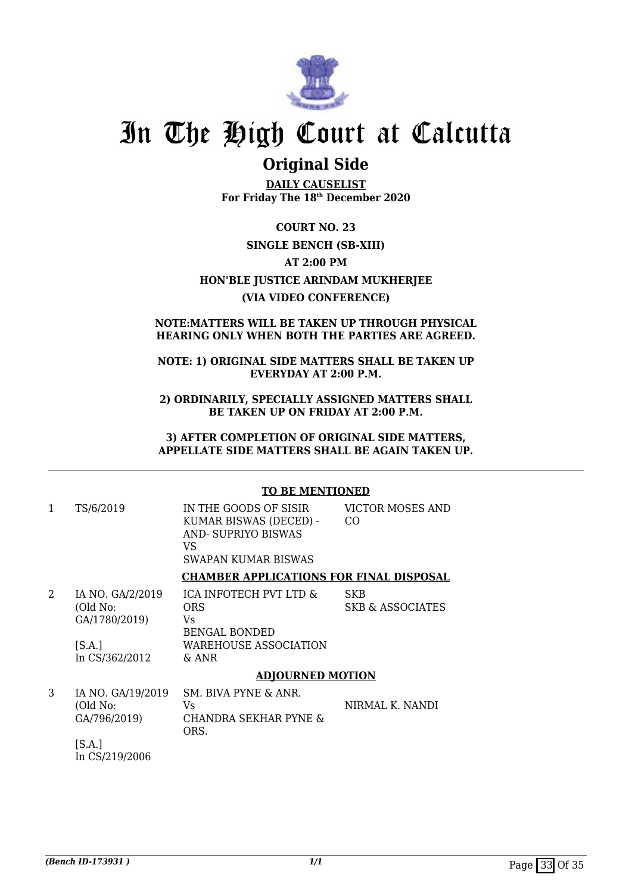

### **Original Side**

**DAILY CAUSELIST For Friday The 18th December 2020**

**COURT NO. 23 SINGLE BENCH (SB-XIII) AT 2:00 PM HON'BLE JUSTICE ARINDAM MUKHERJEE (VIA VIDEO CONFERENCE)**

#### **NOTE:MATTERS WILL BE TAKEN UP THROUGH PHYSICAL HEARING ONLY WHEN BOTH THE PARTIES ARE AGREED.**

#### **NOTE: 1) ORIGINAL SIDE MATTERS SHALL BE TAKEN UP EVERYDAY AT 2:00 P.M.**

**2) ORDINARILY, SPECIALLY ASSIGNED MATTERS SHALL BE TAKEN UP ON FRIDAY AT 2:00 P.M.**

**3) AFTER COMPLETION OF ORIGINAL SIDE MATTERS, APPELLATE SIDE MATTERS SHALL BE AGAIN TAKEN UP.**

#### **TO BE MENTIONED**

| 1 | TS/6/2019                                                                 | IN THE GOODS OF SISIR<br>KUMAR BISWAS (DECED) -<br><b>AND- SUPRIYO BISWAS</b><br>VS<br>SWAPAN KUMAR BISWAS  | VICTOR MOSES AND<br>CO                    |  |
|---|---------------------------------------------------------------------------|-------------------------------------------------------------------------------------------------------------|-------------------------------------------|--|
|   |                                                                           | <b>CHAMBER APPLICATIONS FOR FINAL DISPOSAL</b>                                                              |                                           |  |
| 2 | IA NO. GA/2/2019<br>(Old No:<br>GA/1780/2019)<br>[S.A.]<br>In CS/362/2012 | ICA INFOTECH PVT LTD &<br><b>ORS</b><br>Vs<br><b>BENGAL BONDED</b><br><b>WAREHOUSE ASSOCIATION</b><br>& ANR | <b>SKB</b><br><b>SKB &amp; ASSOCIATES</b> |  |
|   |                                                                           | <b>ADJOURNED MOTION</b>                                                                                     |                                           |  |
| 3 | IA NO. GA/19/2019<br>(Old No:<br>GA/796/2019)                             | SM. BIVA PYNE & ANR.<br>Vs<br>CHANDRA SEKHAR PYNE &                                                         | NIRMAL K. NANDI                           |  |

ORS.

*(Bench ID-173931) 1/1* Page 33 Of 35

 $[S.A.]$ 

In CS/219/2006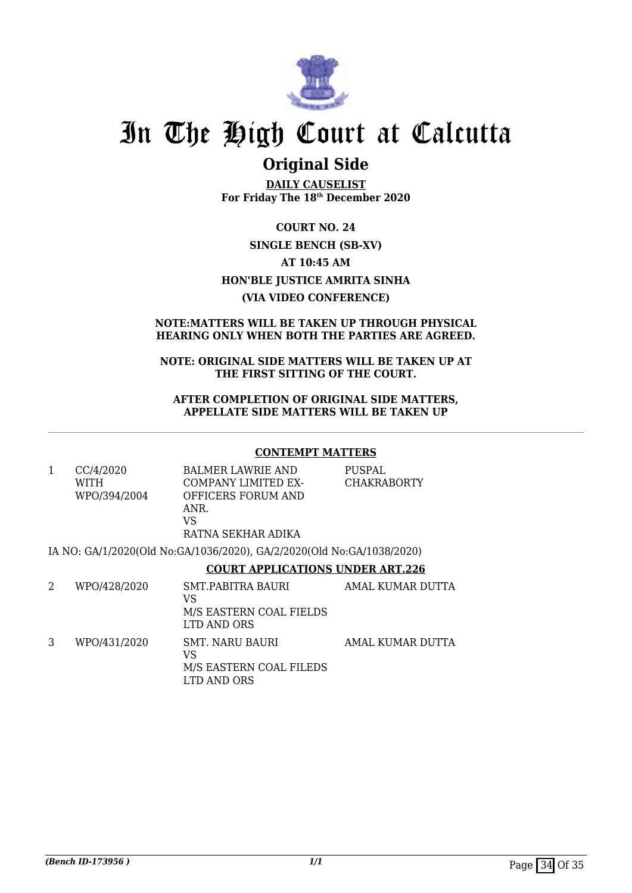

### **Original Side**

**DAILY CAUSELIST For Friday The 18th December 2020**

**COURT NO. 24 SINGLE BENCH (SB-XV) AT 10:45 AM HON'BLE JUSTICE AMRITA SINHA (VIA VIDEO CONFERENCE)**

#### **NOTE:MATTERS WILL BE TAKEN UP THROUGH PHYSICAL HEARING ONLY WHEN BOTH THE PARTIES ARE AGREED.**

#### **NOTE: ORIGINAL SIDE MATTERS WILL BE TAKEN UP AT THE FIRST SITTING OF THE COURT.**

**AFTER COMPLETION OF ORIGINAL SIDE MATTERS, APPELLATE SIDE MATTERS WILL BE TAKEN UP**

#### **CONTEMPT MATTERS**

| 1                                                                     | CC/4/2020    | <b>BALMER LAWRIE AND</b>                | <b>PUSPAL</b>      |  |
|-----------------------------------------------------------------------|--------------|-----------------------------------------|--------------------|--|
|                                                                       | WITH         | COMPANY LIMITED EX-                     | <b>CHAKRABORTY</b> |  |
|                                                                       | WPO/394/2004 | OFFICERS FORUM AND                      |                    |  |
|                                                                       |              | ANR.                                    |                    |  |
|                                                                       |              | VS                                      |                    |  |
|                                                                       |              | RATNA SEKHAR ADIKA                      |                    |  |
| IA NO: GA/1/2020(Old No:GA/1036/2020), GA/2/2020(Old No:GA/1038/2020) |              |                                         |                    |  |
|                                                                       |              | <b>COURT APPLICATIONS UNDER ART.226</b> |                    |  |
| 2                                                                     | WPO/428/2020 | <b>SMT.PABITRA BAURI</b>                | AMAL KUMAR DU'     |  |

VS M/S EASTERN COAL FIELDS LTD AND ORS TTA 3 WPO/431/2020 SMT. NARU BAURI VS M/S EASTERN COAL FILEDS LTD AND ORS AMAL KUMAR DUTTA